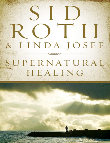# n <mark>i</mark> Sa  $\bigcirc$  TH & LINDA JOSEF

# SUPERNATURAL HEALING

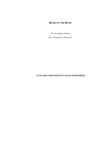#### **BOOKS BY SID ROTH**

*The Incomplete Church They Thought for Themselves*

**AVAILABLE FROM DESTINY IMAGE PUBLISHERS**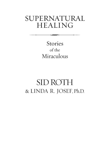### SUPERNATURAL **HEALING**

CHHHHHD

Stories of the Miraculous

## **SID ROTH** & LINDA R. JOSEF, Ph.D.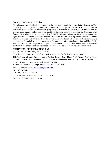#### Copyright 2007 – Messianic Vision

All rights reserved. This book is protected by the copyright laws of the United States of America. This book may not be copied or reprinted for commercial gain or profit. The use of short quotations or occasional page copying for personal or group study is permitted and encouraged. Permission will be granted upon request. Unless otherwise identified, Scripture quotations are from the Scripture taken from the New King James Version. Copyright © 1982 by Thomas Nelson, Inc. Used by permission. All rights reserved. Scripture quotations marked KJV are taken from the King James Version. Scripture quotations marked TLB are taken from the Living Bible Translation. Please note that Destiny Image's publishing style capitalizes certain pronouns in Scripture that refer to the Father, Son, and Holy Spirit, and may differ from some publishers' styles. Take note that the name satan and related names are not capitalized. We choose not to acknowledge him, even to the point of violating grammatical rules.

#### **DESTINY IMAGE ® PUBLISHERS, INC**.

P.O. Box 310, Shippensburg, PA 17257-0310

*"Speaking to the Purposes of God for this Generation and for the Generations to Come."*

This book and all other Destiny Image, Revival Press, Mercy Place, Fresh Bread, Destiny Image Fiction, and Treasure House books are available at Christian bookstores and distributors worldwide.

For a U.S. bookstore nearest you, call 1-800-722-6774.

For more information on foreign distributors, call 717-532-3040.

Reach us on the Internet: [www.destinyimage.com](http://www.destinyimage.com).

ISBN 10: 0-7684-2831-9

ISBN 13: 978-0-7684-2831-5

For Worldwide Distribution, Printed in the U.S.A.

3 4 5 6 7 8 9 10 11 / 13 12 11 10 09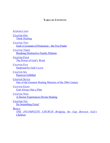#### **TABLE OF CONTENTS**

**I[NTRODUCTION](#page-5-0) C[HAPTER](#page-6-0) ONE** Think [Healing](#page-6-0) C[HAPTER](#page-13-0) TWO God's Covenant of [Protection—the](#page-13-0) 91st Psalm C[HAPTER](#page-25-0) THREE Breaking [Destructive](#page-25-0) Family Patterns **C[HAPTER](#page-38-0) FOUR** The [Power](#page-38-0) of God's Word **C[HAPTER](#page-49-0) FIVE** [Surprised](#page-49-0) by God's Love **C[HAPTER](#page-59-0) SIX** [Passover](#page-59-0) Fulfilled C[HAPTER](#page-68-0) SEVEN One of the Greatest Healing [Miracles](#page-68-0) of the 20th Century C[HAPTER](#page-82-0) EIGHT God [Always](#page-82-0) Has a Plan **C[HAPTER](#page-91-0) NINE** A Doctor [Experiences](#page-91-0) Divine Healing **C[HAPTER](#page-101-0) TEN** Do [Something](#page-101-0) Extra! **B[ONUS](#page-112-0)** *THE INCOMPLETE [CHURCH—Bridging](#page-112-0) the Gap Between God's Children*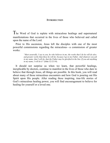#### **INTRODUCTION**

<span id="page-5-0"></span>The Word of God is replete with miraculous healings and supernatural manifestations that occurred in the lives of those who believed and called upon the name of the Lord.

Prior to His ascension, Jesus left the disciples with one of the most powerful commissions regarding the miraculous—a commission of greater works:

> "Most assuredly, I say to you, he who believes in me, the works that I do he will do also; *and greater works than these he will do, because I go to my Father. And whatever you ask* in my name, that I will do, that the Father may be glorified in the Son. If you ask anything *in my name, I will do it"* (John 12:12-14).

It should not surprise us when we learn, that powerful healings, inexplicable by doctors, continue to manifest in the lives of those who dare to believe that through Jesus, all things are possible. In this book, you will read about many of those miraculous encounters and how God is pouring out His Spirit upon His people. After reading these inspiring, true-life stories of God's miraculous healing power, you will find encouragement to believe for healing for yourself or a loved one.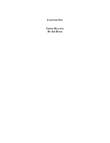**CHAPTER ONE**

<span id="page-6-0"></span>**THINK HEALING BY SID ROTH**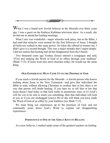$W$ hen I was a brand new Jewish believer in the Messiah over thirty years ago, I was a guest on the Kathryn Kuhlman television show. As a result, she invited me to attend her healing meetings.

,,,,,,,,,,,,,,

What I saw was wonderful—major miracles took place, but in the Bible, I had read that miracles were normal for the first followers of Jesus. I thought all believers walked in this same power. So when she offered to mentor me, I didn't give it a second thought. This was a major mistake that I regret deeply. I did not realize that healing had all but disappeared from the Church.

Two thousand years ago Yeshua (Jesus) entered a synagogue and said, "[You are] making the Word of God of no effect through your tradition" (Mark 7:13). If Jesus went into most churches today, He would say the same thing.

#### **OUR EXPERIENCES MUST COME UP TO THE PROMISE OF GOD**

If you reach a Jewish person for the Messiah—a Jewish person who knows nothing about Jesus or the New Testament—and give that individual the Bible to read, without allowing Christians to confuse him or her, there is no way that person will doubt healing. If you later try to tell him or her that Jesus doesn't heal today or that God works in mysterious ways or it's God's will for *you* to be sick to teach you something, then that individual will look at you as if you are mishuggah (crazy). He or she will think you have made the Word of God of no effect by your tradition (see Mark 7:13).

We must bring our experiences up to the promises of God, and not continually water down God's Word to explain our disappointing experiences.

#### **PERSISTENCE IS ONE OF THE GREAT KEYS TO HEALING**

As a new believer, I studied under some of the greatest teachers on healing.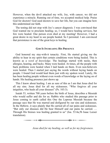However, when the devil attacked my wife, Joy, with cancer, we did not experience a miracle. Running out of time, we accepted medical help. Praise God for doctors! God used doctors to save her life, but you can imagine how this undermined our faith.

The testing did not stop with Joy's cancer diagnosis. I was convinced that God wanted me to proclaim healing; so, I would have healing services, but few were healed. One person even died at my meeting! However, I had a great desire in my heart to see people healed. So I persisted. I am convinced that persistence is one of the great keys to healing.

#### **GOD IS INCREASING HIS PRESENCE**

God honored my stay-with-it tenacity. First, He started giving me the ability to hear in my spirit that certain conditions were being healed. This is known as a *word of knowledge*. The healings started with necks, then allergies, hearing, and backs. Many were healed. At times, all the people with back problems were healed when I laid hands on them. Even non-believers were healed. Then I started just saying the words without laying hands on people. I found God would heal them just with my spoken word. Lately, He has been healing people without even words of knowledge or the laying on of hands. His healing presence just shows up.

This I know about healing. I am as sure of this as I am that Jesus died for all my sins. Jesus died for all my sicknesses. "Who forgives all your iniquities, who heals all your diseases" (Ps. 103:3).

Isaiah 53, written 700 years before the birth of Jesus, describes a Messiah who would suffer and die for us. Rabbis who studied this passage prior to Jesus coming to earth called this One the Leprous Messiah because the passage says that He was marred and disfigured by our sins and sicknesses. In the Hebrew, it says plainly that He carried all of our pains and sicknesses. "But only our diseases did He bear Himself and our pains he carried. … Through His bruises was healing granted to us" (Isa. 53:4a,5b Isaac Leeser translation).

$$
\overbrace{\hspace{2.5cm}}
$$

*Jesus died for my healing, as well as for my forgiveness*.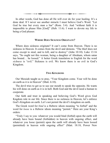

In other words, God has done all He will ever do for your healing. It's a done deal. If I never see another miracle I must believe God's Word. "Let God be true but every man a liar" (Rom. 3:4). And "without faith it is impossible to please Him [God]" (Heb. 11:6). I want to devote my life to being a God pleaser.

#### **WHERE DOES SICKNESS ORIGINATE?**

Where does sickness originate? It can't come from Heaven. There is no sickness in Heaven. It comes from the devil and demons. "The thief does not come except to steal, and to kill, and to destroy" (John 10:10). Luke 13:16 says, "So ought not this woman, being a daughter of Abraham, whom satan has bound... be loosed." A better Greek translation to English for the word *sickness* is "evil." Sickness is evil. We know there is no evil in God's Kingdom.

#### **TWO KINGDOMS**

Our Messiah taught us to pray, "Your Kingdom come. Your will be done on earth as it is in Heaven" (Matt. 6:10).

The devil tries to get us to use our mouth to speak the opposite. He wants his will done on earth as it is in hell. Both God and the devil need a human to cooperate.

Our faith and trust in speaking and believing God's Word gives God Kngdom rule in our life. Since there is no sickness in Heaven, let's enforce God's Kingdom on earth. Let's not permit the devil's kingdom on earth.

The Greek word for *bind* is a Hebrew idiom meaning "to forbid" and the word for *loose* is a Hebrew idiom meaning "permit." Here are your King's orders:

"Truly I say to you: whatever you would bind (forbid) upon the earth will already have been bound (forbidden) in heaven with ongoing effect, and whatever you loose (permit) upon the earth will already have been loosed (permitted) in heaven with ongoing effect" (Matt. 18:18, Power New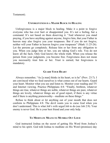Testament).

#### **UNFORGIVENESS IS A MAJOR BLOCK TO HEALING**

Unforgiveness is a major block to healing. Make it a point to forgive everyone who has ever hurt or disappointed you. It's not a feeling, but a command. It's not based on them deserving it. "And whenever you stand praying, if you have anything against anyone, forgive him, that your Father in heaven may also forgive you your trespasses. But if you do not forgive, neither will your Father in heaven forgive your trespasses" (Mark 11:25-26). Let the persons go completely. Release him or her from any obligation to you. When you judge him or her, you are taking God's role. You do not know all the facts. Only God knows the whole truth. When you release the person from your judgments, you become free. Forgiveness does not mean you necessarily trust him or her. Trust is earned, but forgiveness is mandatory.

#### **GUARD YOUR HEART**

Always remember, "As [a man] thinks in his heart, so is he" (Prov. 23:7). I am convinced what we feed ourselves is what comes out of our hearts. Guard your heart. Monitor what you see and listen to. Monitor your reading and TV and Internet viewing. Practice Philippians 4:8: "Finally, brethren, whatever things are true, whatever things are noble, whatever things are pure, whatever things are lovely, whatever things are of good report, if there is any virtue and if there is anything praiseworthy—meditate on these things."

Refuse to think about or let anything out of your mouth that does not conform to Philippians 4:8. The devil wants you to curse God when you don't understand. This is what Job's wife urged Job to do (see Job 2:9). Your enemy is never God. He is your best friend and your only help.

#### **TO MEDITATE MEANS TO MUMBLE OUT LOUD**

God instructed Joshua on the secret of getting His Word from Joshua's mind to his spirit. God told Joshua to meditate on His Word (promises) day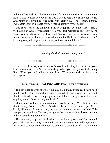and night (see Josh. 1). The Hebrew word for *meditate* means "to mumble out loud." I like to think *of meditate* as God's way to *medicate*. In Exodus 15:26, God refers to Himself as "the Lord who heals you." The Hebrew phrase, "who heals you," is a single word. It means literally, "your doctor."

God says, "For as he thinketh in his heart [spirit], so is he" (Prov. 23:7). Meditating on God's Word doesn't heal you! But meditating on God's Word causes you to believe in your heart, and *believing in your heart* causes your healing to manifest. I also have found reading the Bible out loud changes me! Reading to myself is good, but reading out loud is much better!



One of the best ways to cause God's Word on healing to manifest in your flesh is to repeat God's Words on healing. When you hear yourself affirming God's Word, you will believe in your heart. When you speak and believe, it will happen!

#### **MIRACLES AND HEALINGS ARE TWO DIFFERENT THINGS**

The top healing evangelists of our day have many miracles. I have seen people walk out of wheelchairs totally healed at their meetings. But what about the hundreds of other people in wheelchairs who go home the same way they came? Why are they not healed?

Many times we look for a miracle and miss the *healing*. We plant the truth about healing from God's Word (seed) and believe we are healed (see Mark 11:24). When we do not instantly receive our miracle, we are confused. This then puts us in *unbelief*. Instead, recognize that a *miracle* is an instant healing and a *healing* is a gradual miracle.

The moment you prayed for healing the anointing (power) of God entered your body (see Matt. 8:8). It entered your body whether you felt anything or not. It entered your body whether the symptoms stayed or left. The moment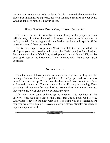the anointing enters your body, as far as God is concerned, the miracle takes place. But faith must be expressed for your healing to manifest in your body. God has done His part. It is now up to you.

#### **WHAT GOD WILL DO FOR ONE, HE WILL DO FOR ALL**

God is not confined to formulas. Yeshua (Jesus) healed people in many different ways. I believe that God will use one or more ideas in this book to build your faith for healing and that the healing anointing will splash off the pages as you read these testimonies.

God is not a respecter of persons. What He will do for one, He will do for all. I pray your great passion will be for the Healer, not just for a healing. Become a worshiper of God. Play worship music in your home 24/7, and let your spirit soar to the heavenlies. Make intimacy with Yeshua your great obsession.

#### **NEVER GIVE UP**

Over the years, I have learned to contend for my own healing and the healing of others. Even if I prayed for 100 deaf people and not one was healed, I never gave up. Today, I see the deaf healed. You do not have three strikes and you are out. You can only strike out if you quit swinging. Keep swinging until you manifest your healing. True biblical faith never gives up. Never give up. Never give up. *never, never give up!*

After over thirty years of investigating miracles, I do not have all the answers—only God does. But of this I am sure: God is good. God is love. God wants to develop intimacy with you. God wants you to be healed more than you want your healing. Heaven is drawing closer. Miracles are ready to explode on planet Earth!

<u>Tananan di</u>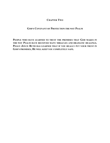#### **CHAPTER TWO**

#### <span id="page-13-0"></span>**GOD'S COVENANT OF PROTECTION-THE 91ST PSALM**

**PEOPLE WHO HAVE LEARNED TO TRUST THE PROMISES THAT GOD MAKES IN THE 91ST PSALM HAVE RECEIVED MANY MIRACLES AND DRAMATIC HEALINGS. PEGGY JOYCE RUTH HAS LEARNED THAT IF YOU REALLY PUT YOUR TRUST IN GOD'S PROMISES, HE WILL KEEP YOU COMPLETELY SAFE.**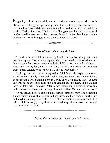Peggy Joyce Ruth is cheerful, warmhearted, and motherly, but she wasn't always such a happy and peaceful person. For eight long years she suffered, tormented by fears and depression until God showed her how to find safety in the 91st Psalm. She says, "I believe that God gave me this answer because I needed to tell others how to be protected from all the horrible things coming on the earth." Here is Peggy Joyce's story in her own words.



#### **A VIVID DREAM CHANGED MY LIFE!**

"I used to be a fearful person—frightened of every bad thing that could possibly happen. I had reached a point where fear literally controlled my life. One day, my fears were at such a peak that I did not know how I could go on. I lay down on my bed, and I asked God, 'Is there any way to be protected from all this danger, or do we just have to take what comes?'

"Although my heart posed this question, I didn't actually expect an answer. I was just emotionally exhausted. I fell asleep, and then I had a vivid dream. In my dream, I was standing alone in a huge open field, asking God, 'Is there any way to be protected from the evil coming on this earth, or do we just have to take what comes?' After a few moments, I heard a powerful, authoritative voice say, 'In your day of trouble call on Me, and I will answer.'

"In my dream, I felt so excited that I started leaping for joy. The next thing I knew, many, many other people had appeared, and they were all celebrating and laughing and rejoicing with me over this answer to the question that I had asked. I felt so overjoyed by those words, and long after I awoke, I continued to ponder what it meant.

**Allen & a ...** 

*In your day of trouble call on Me, and I will answer*.

**Allen A & + + + +**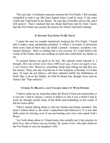"The next day I overheard someone mention the 91st Psalm. I felt strongly compelled to look it up. My heart leaped when I read in verse 15 the same words that I had heard in my dream. 'In your day of trouble call on Me, and I will answer.' Then I realized that my dream had been sent by God. I knew that the 91st Psalm was exactly the answer for which I had been looking."

#### **IT SEEMED TOO GOOD TO BE TRUE!**

"I spent the next six months intensively studying the 91st Psalm. I found that it makes some astonishing promises. It offers a covenant of protection from every kind of harm that can befall a person—sickness, accidents, war, natural disasters—there is nothing that is not covered. If I could believe the words of the Psalm, there was nothing on earth that could harm my family or me.

"It seemed almost too good to be true. My rational mind rejected it. I thought, *This was written more than 2,600 years ago. It does not apply to me. I can't believe this*. However, something inside kept telling me that this was the answer. Then, one day God led me to the Scripture in Romans 3:3-4 that says, 'If some do not believe, will their unbelief nullify the faithfulness of God? May it never be! Rather, let God be found true, though every man be found a liar' That settled it."

#### **I CHOSE TO BELIEVE, AND I TALKED ABOUT IT WITH OTHERS**

"I had to make up my mind that either the Word of God was trustworthy or it was not. I had to choose. I chose to believe it, but it was a belief I had to work for through careful study of the Bible and meditating on the words. It did not come easily.

"Then I started talking about it with my friends and family members. The more I talked about it, the more I understood and believed it. It is true that faith comes by hearing, even if you are hearing your own voice speak God's Word.

"As I told others about it, I found many who actually put it into practice in their lives. One of these was my brother, Dr. James Crow, who later relied on the 91st Psalm to save his daughter's life."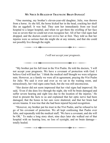#### **MY NIECE IS HEALED OF TRAUMATIC BRAIN DAMAGE!**

"One morning, my brother's eleven-year-old daughter, Julie, was thrown from a horse. As she fell, the horse kicked her in the head, cracking her skull like an eggshell. It was bad. They sent her immediately from our local hospital to a larger hospital, and when we got there the swelling of her face was so severe that we could not even recognize her. All of her vital signs had dropped, and the doctors could not revive her at first. They told us that her injuries were so serious that she might die at any minute, and that she could not possibly live through the night.



"My brother put his full trust in the 91st Psalm. He told the doctors, 'I will not accept your prognosis. We have a covenant of protection with God. I believe God will heal her.' I think the medical staff thought we were religious nuts. However, as a family we were all in agreement, praying the 91st Psalm for Julie. We said it over and over as we sat in the waiting room, and miraculously, her vital signs came back, but she was still unconscious.

"Her doctor did not seem impressed that her vital signs had improved. He said, 'Even if she does live through the night, she will be brain damaged and suffer severe hearing and sight loss due to the location of the injuries.' He tried to present the facts to us and explained that her optic nerve had been damaged, that the bones in her ears were shattered, and that her brain had severe trauma. It was true that she had been injured beyond recognition.

"However, my brother put his trust in the 91st Psalm, and he refused to let go of his covenant of protection. We all kept confessing that Psalm over Julie, and repeatedly told the medical staff, 'We have a covenant, and she will be OK.' To make a long story short, nine days later she walked out of that hospital with no hearing loss, no loss of eyesight, and no brain damage totally healed.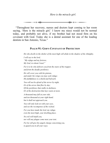*Here is the miracle girl*.

"Throughout her recovery, nurses and doctors kept coming to her room saying, 'Here is the miracle girl.' I know my niece would not be normal today, and probably not alive, if my brother had not stood firm on his covenant with God. Today she is a dental assistant for one of the leading dentists in San Antonio, Texas."

#### **PSALM 91: GOD'S COVENANT OF PROTECTION**

*He who dwells in the shelter of the most high will abide in the shadow of the Almighty*. *I will say to the lord, "My refuge and my fortress, My God, in whom I trust!" For it is he who delivers you from the snare of the trapper, and from the deadly pestilence*. *He will cover you with his pinions, and under his wings you may seek refuge; His faithfulness is a shield and bulwark*. *You will not be afraid of the terror by night, Or of the arrow that flies by day; Of the pestilence that stalks in darkness, Or of the destruction that lays waste at noon*. *A thousand may fall at your side, and ten thousand at your right hand; but it shall not approach you*. *You will only look on with your eyes, and see the recompense of the wicked*. *For you have made the lord, my refuge, even the most high, your dwelling place*. *No evil will befall you, nor will any plague come near your tent*. *For he will give his angels charge concerning you, to guard you in all your ways*.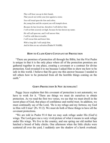*They will bear you up in their hands, That you do not strike your foot against a stone*. *You will tread upon the lion and cobra, the young lion and the serpent you will trample down*. *Because he has loved me, therefore I will deliver him; I will set him securely on high, because he has known my name*. *He will call upon me, and I will answer him; I will be with him in trouble; I will rescue him and honor him*. *With a long life I will satisfy him, And let him see my salvation* (Psalm 91 NASB).

#### **HOW TO CLAIM GOD'S COVENANT OF PROTECTION**

"There are promises of protection all through the Bible, but the 91st Psalm is unique in that it is the only place where all of the protection promises are gathered together in one place, creating a covenant or a contract for divine protection. God revealed it to me because I asked Him to show me how to be safe in this world. I believe that He gave me this answer because I needed to tell others how to be protected from all the horrible things coming on the earth."

#### **GOD'S PROTECTION IS NOT AUTOMATIC!**

Peggy Joyce explains that this covenant of protection is not automatic; we have to work for it. "There are things we must do ourselves to obtain protection. As we read the first two verses, we see that we must dwell in the secret place of God, that place of confidence and restful trust. In addition, we must continually say of the Lord, 'He is my refuge and my fortress; my God in Him will I trust' (Ps. 91:2). We must do both of these things to have all the covenant protections.

"We are told in Psalm 91:4 that we may seek refuge under His (God's) wings. The Lord gave me a very vivid picture of what it means to seek refuge under His wings. We live in the country, and one spring our old mother hen hatched a brood of baby chicks. One afternoon when the little chicks were scattered all over the yard, I suddenly saw the shadow of a hawk overhead.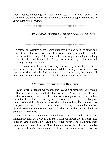Then I noticed something that taught me a lesson I will never forget. That mother hen did not run to those little chicks and jump on top of them to try to cover them with her wings.



"Instead, she squatted down, spread out her wings, and began to cluck, and those little chicks, from every direction, came running to her to get under those outstretched wings. Then, she pulled her wings down tight, tucking every little chick safely under her. To get to those babies, the hawk would have to go through the mother.

"In the same way, it is under His wings that we may seek refuge—but we have to run to Him. He does not run here and there, trying to cover us. He has made protection available. And when we run to Him in faith, the enemy will have to go through God to get to us. It is important to understand this."

#### **A MOTHER SAVES THE LIFE OF HER CHILD**

Peggy Joyce has taught many about our covenant of protection. One young mother was particularly glad she had learned it. "Her four-year-old son, Skylar, went over the side of a cliff after his bicycle got out of control. When his mother found him, he was tangled in the wheel of the bicycle and lying on his stomach with his chin turned around over his shoulder. The situation was so urgent that they could not wait for the ambulance, so the mother and her sister drove him to the nearest hospital. As they drove, they prayed aloud the promises of Psalm 91.

"The local hospital found an obvious break in the C-1 vertebra, so he was immediately airlifted to Cooks Children's Hospital in Fort Worth, Texas. The situation seemed grim. However, the two sisters never stopped claiming their protection covenant of Psalm 91 as doctors attended the little boy. Finally, the doctor at Cook's Hospital came out of the room with a strange look on his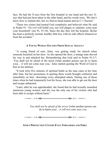face. He had the X-rays from the first hospital in one hand and the new Xrays that had just been taken in the other hand, and his words were, 'We don't know how to explain this, but we find no head trauma and no C-1 fracture.'

"These two sisters had trusted God completely and believed what He said in Psalm 91: 'No evil will befall you, nor will plague or calamity come near your household' (see Ps. 91:10). Since the day they left the hospital, Skylar has been a perfectly normal, healthy little boy with no side effects whatsoever from the accident."

#### **A YOUNG WOMAN ESCAPES FROM SEXUAL ASSAULT**

"A young friend of ours, Julee, was getting ready for church when someone knocked on her door. As she opened the door, a strange man shoved his way in and attacked her. Remembering that God said in Psalm 91:5,7, 'You shall not be afraid of the terror [what another person can do to harm you]… it will not come near you,' Julee started quoting the Word of God to him as her defense.

"It took forty-five minutes of spiritual battle as the man came at her time after time, but her persistence in quoting these words brought confusion and immobility on him—thwarting every attempted attack. During one of those times when he had temporarily lost his focus, she was able to get out the door and escape unharmed.

"Later, after he was apprehended, she found that he had sexually assaulted numerous young women, and she was the only one of his victims who had been able to escape without harm."



*You shall not be afraid of the terror* [what another person can do to harm you] *…it will not come near you*,

**dine 6 6 c - ----**

**GOD'S PROTECTION COVERS EVEN TORNADOES AND FIRES**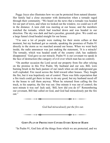Peggy Joyce also illustrates how we can be protected from natural disaster. Her family had a close encounter with destruction when a tornado raged through their community. "We heard on the news that a tornado was headed for our part of town, and when we looked out the window, we could see it off in the distance. A teen club was meeting at our house, and the members watched the tornado, which had touched down and was headed in our direction. The sky was dark and had a peculiar, greenish glow. We could see a large funnel cloud headed straight for our house.

"I'm sure a lot of people were rushing for their storm cellars at that moment, but my husband got us outside, speaking the promises of Psalm 91 directly to the storm as we marched around our house. When we went back inside, the radio announcer was just making the statement, 'It is a miracle! The tornado, which was headed south of the country club, has suddenly disappeared.' God gave us our miracle. Psalm 91 is our covenant we speak in the face of destruction (the category of evil over which man has no control).

"On another occasion the Lord saved our property from fire after relying on the promise in this 91st Psalm. My husband and our son, Bill, were burning brush in the back pasture of our ranch when an old underground gas well exploded. Fire raced across the field toward other houses. They fought the fire, but it was hopelessly out of control. There was little expectation that a fire truck could get there in time to do any good, but my husband raced off to the house to call them anyway. When he returned from calling the fire truck, to his surprise, the fire was out. One minute it was out of control; the next minute it was out! Jack said, 'Bill, how did you do it?' Remembering our covenant, Bill had called on God, and God had miraculously put the fire out."



*God had miraculously put the fire out*.

 $-1.0.0$   $-0.00$ 

**GOD'S PLAN OF PROTECTION COVERS EVERY KIND OF HARM**

"In Psalm 91, God lists all the things from which we are protected, and we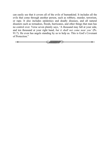can easily see that it covers all of the evils of humankind. It includes all the evils that come through another person, such as robbery, murder, terrorism, or rape. It also includes epidemics and deadly diseases, and all natural disasters such as tornadoes, floods, hurricanes, and other things that man has no control over. Verse seven plainly says, 'A thousand may fall at your side, and ten thousand at your right hand, *but it shall not come near you'* (Ps. 91:7). He even has angels standing by us to help us. This is God's Covenant of Protection."

-8888888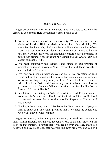#### **WHAT YOU CAN DO**

Peggy Joyce emphasizes that all contracts have two sides, so we must be careful to do our part. Here is what she teaches people to do:

- 1. Verse one reveals part of our responsibility: We are to dwell in the shelter of the Most High and abide in the shadow of the Almighty. We are to be like those baby chicks and learn to live under the wings of our Lord. We must root out our doubts and make up our minds to believe that these are not just words for emotional comfort, but real promises to turn things around. You can examine yourself and ask God to help you accept this as the Truth.
- 2. We must continually tell ourselves and others of this promise of protection as it says in verse 2, "I will say of the Lord, He is my refuge and my fortress" (Ps. 91:2).
- 3. We must seek God's protection. We can do this by meditating on each verse and thinking about what it means. For example, as you meditate on verse two, begin to say from your heart, "He is the Lord, the one to whom I will run first. Lord, You are my God in whom I trust. I know you want to be the Source of all my protection; therefore, I will refuse to look at all forms of Plan B."
- 4. In addition to meditating on Psalm 91, read it out loud. Put your own or someone else's name in it. Thank God for it; thank Him that He loved you enough to make this protection possible. Depend on Him to lead you through.
- 5. Finally, if there is any point of obedience that He expects out of you, ask Him to show you. The Psalm promises that if we meet the conditions, God will satisfy us with long life.

Peggy Joyce says, "When you pray this Psalm, tell God that you want to know Him intimately, and that you recognize Jesus as the only provision for your life that matters. I promise that if you read it over and over, and if you believe it and say it out loud, then fear will run away from you and you will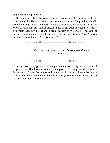begin to see real protection."

She sums up: "It is awesome to think that we can be intimate with the Creator and that He will give us a purpose and a destiny. He provides angelic protection and gives us authority over the enemy. Greater power is in the Word of God than any fear or circumstance or situation in your life. Thirtyfive years ago, my life changed from despair to victory, not because of anything special about me, but because of the power in God's Word. You can do it too! Go for the gold! It's your time!"



In her classes, Peggy Joyce has taught hundreds on living in God's blanket of protection. Her husband is the senior pastor of Living Word Church in Brownwood, Texas. For adults and youth, she has written instructive books that go into more depth about the 91st Psalm. (See Resources in the back of the book for more information.)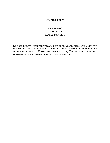#### **CHAPTER THREE**

#### **BREAKING DESTRUCTIVE FAMILY PATTERNS**

<span id="page-25-0"></span>**GOD SET LARRY HUCH FREE FROM A LIFE OF DRUG ADDICTION AND A VIOLENT TEMPER, AND TAUGHT HIM HOW TO BREAK GENERATIONAL CURSES THAT HOLD PEOPLE IN BONDAGE. TODAY, HE AND HIS WIFE, TIZ, PASTOR A DYNAMIC MINISTRY WITH A WORLDWIDE TELEVISION OUTREACH.**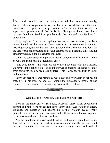I<sup>f</sup> certain diseases like cancer, diabetes, or mental illness run in your family, Larry Huch's message may be for you. Larry has found that when the same problems crop up in several generations of a family, there is often a supernatural power at work that the Bible calls a generational curse. Larry has seen hundreds freed from problems that had plagued their families for generations.

Larry explains: "Just about anything that causes harm or misery can be a curse. Sometimes the same problems pass from one generation to another, affecting even grandchildren and great grandchildren. The key is to look for the same problem repeating in several generations of a family. This familial tendency usually signals a generational curse.

When the same problem repeats in several generations of a family, it may be what the Bible calls a generational curse.

"The good news is that when we enter into a covenant with the Messiah, we have reconciliation with God and the power to break these curses not only from ourselves but also from our children. This is a wonderful truth to know and understand."

Larry has seen the same principles work over and over again to set people free, first in his own life and later among the thousands to whom he has ministered. His own story is an amazing proof of this teaching.

#### **GENERATIONS OF ANGER, VIOLENCE, AND ADDICTION**

Born in the inner city of St. Louis, Missouri, Larry Huch experienced turmoil and pain from his earliest days. Larry said, "Generations of anger, violence, and addiction had caught me in their vicious cycles; many generations of my own family were plagued with anger, and the consequence to me was a childhood filled with violence.

"By the time I was nine years old, I realized that to care was to be a victim. I vowed never to cry again, and to be so tough and hard that no one could hurt me. Over the next few years, I became as street smart as I could. I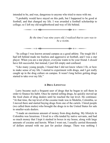intended to be, and was, dangerous to anyone who tried to mess with me.

"I probably would have stayed on this path, but I happened to be good at football, and that changed my life. I was awarded a football scholarship to college; so I left my old neighborhood and way of life behind.



*By the time I was nine years old, I realized that to care was to be a victim*.

"In college I was known around campus as a good athlete. The tough life I had left behind made me fearless and aggressive at football, and I was a star player. When you are a star player, everyone wants to be your friend. I *should* have felt successful, but instead, I just felt empty and confused.

"Like many young people, I found that I did not know where I fit, or how to make sense of my life. I started to experiment with drugs, and I got really caught up in the drug culture on campus. It wasn't long before getting drugs started to take over my life."

#### **A DRUG LIFESTYLE**

Larry became such a frequent user of drugs that he began to sell them in order to finance his habit. Once he started selling drugs, he quickly moved up the food chain of drug dealers until he reached the top level. He continues: "At that time, the top level of the cocaine trade was in Medelin, Colombia, so I moved there and started buying drugs from one of the cartels. I hired people (we called them mules) who brought the drugs in to the United States for sale to smaller-scale dealers.

"I made an enormous amount of money from drug dealing. My lifestyle in Colombia was luxurious. I lived in a villa tended by native servants, and had so much money that I kept it stashed in boxes in my house, along with large amounts of cocaine and heroin. When I went out, I usually carried thousands of dollars around with me just for pocket change. There was nothing I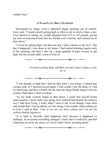couldn't buy."

#### **A NEAR-FATAL DRUG OVERDOSE**

Surrounded by drugs, Larry's addiction began spiraling out of control. Larry said, "I found myself getting high as often as ten to twelve times a day. I lost interest in eating; my weight dropped from 215 to 145 pounds, giving me such an emaciated look that my friends were worried, and warned me to slow down."

"I lived for getting high, and then one day I had a chance to die for it. The day it happened, I was alone in my house. I had started drinking tequila early in the morning, and then I shot up a large quantity of pure cocaine to get high, but the cocaine didn't seem to kick in.



"I was already so high that I had no idea what I was doing. I wanted that cocaine rush, so I injected myself again. I still couldn't feel the drug, so I did it a third time, and then a fourth. By the time the drugs finally began to hit my system, I had taken a fatal overdose.

"As my body systems began to shut down, I could feel myself losing consciousness. I knew that I was dying, but I realized that despite the reckless way I had been living, I really didn't want to die. Even though I had often told people that I was an atheist, as I lay dying, I just couldn't help calling out to God. I said to Him, *'God, if you are out there, please don't let me die without finding happiness. '*

"It is hard to describe what happened next, because it happened so suddenly. In an instant everything changed. I knew that I would live, and that I had been saved by the mercy of a God I didn't know anything about."

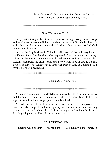*I knew that I would live, and that I had been saved by the mercy of a God I didn't know anything about*.

$$
\underbrace{\hspace{2.5cm}}\hspace{2.5cm}
$$

#### **GOD, WHERE ARE YOU?**

Larry started trying to find this unknown God through taking various drugs and in all sorts of exotic religions, but the experience of God eluded him. He still drifted in the currents of the drug business, but the need to find God continued to increase.

In time, the drug business in Colombia fell apart, and that led Larry back to the United States. He describes what happened: One day when I was away, thieves broke into my mountaintop villa and stole everything of value. They took my drug stash and all my cash, and there was no hope of getting it back. I just didn't have the heart to try to start over from nothing in Colombia, so I returned to the United States.



**CD-00-00-**

"I wanted a total change in lifestyle, so I moved to a farm in rural Missouri and became a vegetarian. I continued to do some small-time dealing to

support myself, but my real purpose was to find God.

"I tried hard to get free from drug addiction, but it proved impossible to break the habit. I repeatedly threw my drug needles into the woods, swearing to get clean, but within hours I would be crawling around looking for them so I could get high again. That addiction owned me."

#### **THE PRESENCE OF GOD**

Addiction was not Larry's only problem. He also had a violent temper. In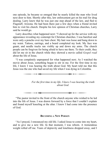one episode, he became so enraged that he nearly killed the man who lived next door to him. Shortly after this, law enforcement got on his trail for drug dealing. Larry knew that he was just one step ahead of the law, and fled to Flagstaff, Arizona. He had been there just a few days when a friend invited him to visit his church. Despite his low opinion of Christian churches, Larry said he would go.

Larry describes what happened next: "I showed up for the service with my appearance revealing my contempt for Christian churches. I was barefoot and wore only a poncho over my bare chest. My hair was loose and hung down to my waist. Tattoos, earrings, and a beard completed my look. My face was gaunt, and needle tracks ran visibly up and down my arms. The church people can be forgiven for being afraid to have me there. To their credit, they did let me sit in the church while they showed a movie called *Gospel road* about the life of Jesus.

"I was completely unprepared for what happened next. As I watched the movie about Jesus, something began to stir in me. For the first time in my life, I knew I was hearing the truth about God. My heart told me that this Jesus was the one who had saved my life when I was dying in Colombia.



*For the first time in my life, I knew I was hearing the truth about God*.

"The pastor invited to the front of the church anyone who wished to be led into the life of Jesus. I was drawn forward by a force that I couldn't explain and found myself kneeling at the altar. I knew I had come into the presence of God.

#### **BECOMING A NEW PERSON**

"As I prayed, I renounced my old life. I asked Jesus to come into my heart, and to give me a new life. In that moment, I was reborn. A tremendous weight rolled off me. Years of depravity and loneliness dropped away, and I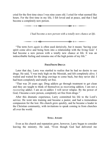cried for the first time since I was nine years old. I cried for what seemed like hours. For the first time in my life, I felt loved and at peace, and that I had become a completely new person.



"The term *born again* is often used derisively, but it means 'having your spirit come alive and being born into a relationship with the living God.' I had become a new person with a totally new chance at life. It was an indescribable feeling and remains one of the high points of my life."

#### **FREEFROM DRUGS**

Later that day, Larry was startled to realize that he had no desire to use drugs. He said, "I was truly high on the Messiah, and felt completely alive. I waited and waited for the drug cravings to come back, but they never did. I had been completely and totally set free.

"That was 28 years ago. Drug addicts go through treatment to get clean and they are taught to think of themselves as recovering addicts. I am not a *recovering* addict. I am an ex-addict. I will never relapse. By the power of God, I became a new person, completely set free from drugs."

After this dramatic experience, Larry committed his life to the Lord's service. He went into training and became a pastor, and had a tremendous compassion for the lost. His church grew quickly, and he became a leader in the Christian community, with invitations to speak coming in from churches all over the world.

#### **STILL ANGRY**

Even as his church and reputation grew, however, Larry began to consider leaving the ministry. He said, "Even though God had delivered me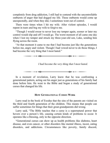completely from drug addiction, I still had to contend with the uncontrollable outbursts of anger that had dogged my life. These outbursts would come up unexpectedly, and when they did, I sometimes went out of control.

There were times when I hit my wife. After violent episodes, I would repent in tears and beg my wife to forgive me.

"Though I would swear to never lose my temper again, sooner or later my control would slip and off I would go. The worst moment of all came one day when I lost my temper and struck my three-year-old son, Luke, sending him flying across the room.

"At that moment it came to me that I had become just like the generations before me, angry and violent. Though I had vowed never to do those things, I had become the very thing that I most hated."



*I had become the very thing that I most hated*.

In a moment of revelation, Larry knew that he was confronting a generational pattern, acting out his anger just as generations of his family had done before him. He went to the Bible and began a study of generational curses that changed his life.

#### **HOW GENERATIONAL CURSES WORK**

Larry read in the book of Exodus that the sins of the parents are visited on the third and fourth generation of the children. This means that people can suffer sometimes for things that their great-grandparents did wrong.

Larry said, "The Bible teaches that a curse is a supernatural power that hovers over a person's life, causing certain kinds of problems to occur. It operates like a blessing, only in the opposite direction.

"Generational curses can show up as health problems like diabetes, heart disease, and even cancer, or other disorders like mental illness, incest, eating disorders, and addictions. Circumstances like poverty, family discord,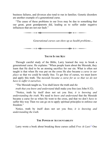business failures, and divorces also tend to run in families. Genetic disorders are another example of a generational curse.

"The cause of these problems in our lives may be due to something that our great, great grandparents did, leading us to suffer under negative influences that are not our fault."



*Generational curses can show up as health problems…*



#### **TRUTH IS THE KEY**

Through careful study of the Bible, Larry learned the way to break a generational curse. He explains: "When people learn about the Messiah, they learn that He died to be an atoning sacrifice for our sin. What is often not taught is that when He was put on the cross He also became a *curse in our place* so that we could be totally free. To get free of curses, we must know and apply this truth. The *messiah became a curse for us so that we do not have to suf er it ourselves*.

"The Messiah taught us, You shall know the truth and *the*

*truth that you know and understand* shall make you free (see John 8:32).

"Notice, truth by itself does not set you free; *it is knowing and understanding the truth*. We need to *know and understand* that the Messiah became a curse for us when He went to the cross, and that we don't *have to* suffer this way Then we can go on to apply spiritual principles to enforce our freedom."

Notice, truth by itself does not set you free; *it is knowing and understanding the truth*.

#### **THE POWER OF ACCOUNTABILITY**

Larry wrote a book about breaking these curses called *Free At Last*.<sup>[1](#page-37-0)</sup> One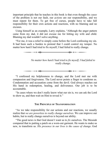important principle that he teaches in this book is that even though the *cause* of the problem is not our fault, our *actions* are our responsibility, and we must repent for them. To get free of curses, people have to take full responsibility for their own actions and reactions, with no blaming and no excuses.

Using himself as an example, Larry explains, "Although the anger pattern came from my dad, it did not excuse me for hitting my wife and child. Blaming my dad wouldn't solve anything.

"For me, it was a relief to simply come before the Lord confessing my sin. It had been such a burden to pretend that I could control my temper. No matter how hard I had tried to fix myself, I had failed to really change.



"I confessed my helplessness to change, and the Lord met me with compassion and forgiveness. The Lord never points a finger to condemn us. Condemnation and accusation come from the devil. God always reaches out His hand in redemption, healing, and deliverance. Our job is to be accountable.

"In cases where we don't really know what our sin is, we can ask the Lord to show us, and then wait on Him to reveal it."

#### **THE PRINCIPLE OF TRANSFORMATION**

"As we take responsibility for our actions and our reactions, we usually realize that *we are powerless to really change ourselves*. We can improve our habits, but to really change ourselves is beyond our ability.

"The good news is that God doesn't want us to *fix* ourselves. The Messiah compared that to putting a patch on a worn-out garment. He wants to make us new, to transform us. *His presence in our lives is the cause of change*. God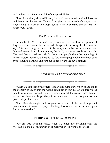will make your life new and full of new possibilities.

"Just like with my drug addiction, God took my admission of helplessness and began to change me. *Today, I am free of uncontrollable anger. I no longer have to restrain my angry spirit. I am a changed person, and the anger is just gone."*

#### **THE POWER OF FORGIVENESS**

In his book, *Free At last*, Larry teaches the transforming power of forgiveness to reverse the curse and change it to blessing. In the book he says, "We make a great mistake in blaming our problems on other *people*. Our real enemy is a spiritual power, the devil, who uses people as his tools. The devil has studied methods for destroying people since the beginning of human history. We should be quick to forgive the people who have been used by the devil to harm us, and turn our anger toward the devil himself.



"When we don't forgive, bitterness mars and ruins our own lives and binds the problem to us, so that the wrong continues to hurt us. As we forgive the people who have wronged us, we release a powerful wave of God's healing in our own lives and begin the path of our own recovery. Forgiveness is a powerful spiritual force.

"The Messiah taught that forgiveness is one of the most important preconditions for answered prayer. He taught us to love our enemies and pray for our adversaries."

#### **FIGHTING WITH SPIRITUAL WEAPONS**

"We are free from all curses when we enter into covenant with the Messiah. He took all our curses on Himself when He went to the cross.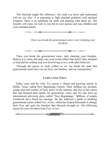"The Messiah taught His followers, 'the truth you know and understand will set you free.' It is important to fight spiritual problems with spiritual weapons. There is no substitute for study and learning what these are. The benefits will come not only to you but to your spouse and your children and your extended family.



*Once you break the generational curse, start claiming your freedom*.

"Once you break the generational curse, start claiming your freedom. Believe it is yours and make sure your words reflect that belief. Stay obedient to God and let nothing stop you from living in love with other believers.

"Through the power at work within us we can break the hold that generational curses have on our lives, our families, and our communities."

### **LARRY'S LIFE TODAY**

Today Larry and his wife, Tiz, pastor a vibrant and growing church in Dallas, Texas, called New Beginnings Church. Their children are dynamic young men and women of God, active in the ministry and free of the curses that had haunted their family for generations. Larry and Tiz also have an international television show called "New Beginnings." Millions of people worldwide have heard his message. He has authored a guide to breaking generational curses called *Free At last*, which has helped thousands to change their lives and gain the freedom that Messiah brought us. The following prayer for you was taken from *Free At last*.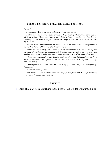#### **LARRY'S PRAYER TO BREAK THE CURSE FROM YOU**

#### *Father God*,

*I come before You in the name and power of Your son, Jesus*.

I admit that I am a sinner, and I ask You to forgive me of all my sins. I know that my *life is messed up; I know that You are not pointing a finger to condemn me, but You are reaching out Your hand to help me. Father, as You gave Your Son's life for me, so I give my life to You*.

*Messiah, I ask You to come into my heart and make me a new person. Change me from the inside out and mold me into who You want me to be*.

*Right now I break every family curse and every generational curse on my life. I plead the blood of messiah over my mind, my spirit, and my body. I break every yoke and every bondage from my past, and I sever those ties through the power of the blood of messiah*.

*I declare my freedom right now. I claim my liberty right now. I claim all that has been lost to be restored to me right now. Fill me, lord, with Your love, Your peace, Your joy, and Your victory*.

*I open my heart now to all you want to do in my life. Thank You for a new beginning. Thank You*.

*In messiah's name, Amen*.

*Now believe that this has been done in your life, just as you asked. Find a fellowship of believers and walk in your freedom*.

#### **ENDNOTE**

[1.](#page-33-0) Larry Huch, *Free at last* (New Kensington, PA: Whitaker House, 2004).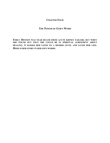### **CHAPTER FOUR**

# **THE POWER OF GOD'S WORD**

**EMILY DOTSON WAS NEAR DEATH FROM ACUTE KIDNEY FAILURE, BUT WHEN SHE FOUND OUT THAT SHE COULD BE IN SPIRITUAL AGREEMENT ABOUT HEALING, IT RAISED HER FAITH TO A HIGHER LEVEL AND SAVED HER LIFE. HERE IS HER STORY IN HER OWN WORDS**.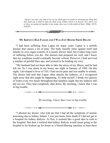*"Again I say unto you, that if two of you shall agree on earth as touching any thing that they shall ask, it shall be done for them of my Father which is in heaven. For where two or three are gathered together in my name, there am I in the midst of them"* (Matt. 18:19- 20 KJV).



### **MY KIDNEYS HAD FAILED AND I WAS JUST HOURS FROM DEATH**

"I had been suffering from Lupus for many years. Lupus is a terrible disease that causes a lot of pain. The body literally turns against itself and attacks its own organ systems. It is nearly always fatal, but it takes long years of suffering before you die. The doctors had prepared me well, and I knew that my condition would eventually become critical. However, I had survived a number of painful flare-ups, and seemed to be holding my own.

"My husband had not been able to take the stress of my illness, and he had left me. So I was alone in my house one night in January of 1980. On this night, I developed a fever of 103; I had severe pain and was unable to urinate. The doctor had said that Lupus often attacks the kidneys, so I recognized right away that this might be happening. To help myself, I drank two glasses of water every two hours throughout that sleepless night, but my kidneys still did not act. They had completely shut down. By morning, I knew that I was in big trouble.





"I phoned my doctor, who told me that I had all the symptoms of uremic poisoning due to kidney failure. I was just hours from death if I did not get to a hospital for kidney dialysis. At first, it seemed like a good idea to rush to the hospital. But then I realized that kidney dialysis would mean going to the hospital to be hooked up for hours to a blood-filtering machine at least three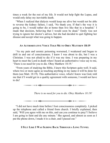times a week for the rest of my life. It would not help fight the Lupus, and would only delay my inevitable death.

"When I realized that dialysis would keep me alive but would not be able to reverse the kidney failure, I said, 'No thank you. If that's the way it is going to be, I would rather die at home than live like that in a hospital.' I made that decision, believing that I would soon be dead." Emily was not trying to ignore her doctor's advice, but she had decided to quit fighting her disease and accept what was going to happen.

#### **AN AUTHORITATIVE VOICE TOLD ME TO OBEY MATTHEW 18:19**

"As my pain and uremic poisoning worsened, I weakened and began to drift in and out of consciousness. I knew I was about to die, but I was a Christian. I was not afraid to die if it was my time. I was preparing in my heart to meet the Lord in death when I heard an authoritative voice say to me, 'There is no need for you to die. Obey Matthew 18:19.'

"From years of studying the Bible, I knew this Scripture quite well. It said, where two or more agree as touching anything in my name it will be done for them (see Matt. 18:19). This authoritative voice, which I knew was God, told me that if I would get in a quality agreement with someone, I would not have to die!

> > *There is no need for you to die. Obey Matthew 18:19!*

 $\overline{\phantom{iiiiiiiiiiiiiii}}$ 

"I did not have much time before I lost consciousness completely. I picked up the telephone and called a friend from church. I briefly explained, then said, 'Will you agree with me on this, and can you continue to pray? I believe I am going to faint and die any minute.' She agreed, and almost as soon as I put the phone down, I made it to a chair, and I passed out."

**I FELT LIKE I WAS SLIDING BACK THROUGH A LONG TUNNEL**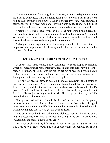"I was unconscious for a long time. Later on, a ringing telephone brought me back to awareness. I had a strange feeling as I awoke; I felt as if I were sliding back through a long tunnel. When I opened my eyes, I was stunned. I felt wonderful! My fever was gone—my pain was gone. Then, I felt an urge to go and urinate, and this was so normal, I rejoiced and was so thankful!

"Imagine rejoicing because you can go to the bathroom! I had placed my trust totally in God, and He had miraculously restored my kidneys! I was not yet healed from Lupus, but my kidneys were normal again. My gratitude and love of God were as overwhelming as the miracle itself."

Although Emily experienced a life-saving miracle, it is important to emphasize the importance of following medical advice when you are under the care of a physician.

### **EMILY LEARNS THE TRUTH ABOUT SICKNESS AND DISEASE**

Over the next three years, Emily continued to battle Lupus symptoms, which included intense pain, weakness, nausea, and difficulty moving. Emily said, "By January of 1983, I was too sick to get out of bed, but I would not go to the hospital. The doctor told me that most of my organ systems were failing, and that I was coming to the end of my life*."*

As Emily lay bedfast, close to death, a friend called a Spirit-filled pastor to pray for her. Emily said, "Before he prayed, he explained that sickness came from the devil, and that the work of Jesus on the cross had broken the devil's power. Then he said that if people would believe that truth, they would be set free from disease just as they were from sin. Then he prayed for me, but I felt no anointing or other sensation.

"The pastor had said that I could be free of Lupus! I tried to be polite, because he meant well. I said, 'Pastor, I never heard that before, though I have been in church all my life. Forgive me, but it seems hard to believe this with me lying here sick as a dog at the door of death.'

"The pastor explained that both sin and sickness were works of the devil, and that Jesus had dealt with them both by going to the cross. I asked him, 'What about the medical facts of my case?'

"His answer changed my life. *He said that the medical facts are true, but God's word is a higher truth*. You can choose what you believe, but if you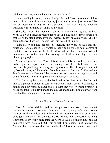think you are sick, you are believing the devil's lies."

Understanding began to dawn on Emily. She said, "You mean the devil has been making me sick and stealing my joy all these years, just because I let him get away with it, and that I have believed a lie?" Now that she knew the truth, she was starting to get angry at the devil.

She said, "From that moment I started to enforce my right to healing. Weak as I was, I forced myself to reach out and take hold of my fountain pen that lay on the stand beside my bed. I wrote, 'Today, on January 21, 1983, by faith in the word of God, I decree that I am healed of Lupus.'

"That pastor had told me that by speaking the Word of God into my situation, I could change it. I wanted so badly to be well, to be in control of my fate. I was furious that the devil had robbed me of so many good years. I determined to do this, and that nothing but death would stop me from claiming my rights.

"I started speaking the Word of God immediately to my body, and my body began to respond and to gain strength, which in itself amazed the doctors. I began doing this every waking moment. Then I bought a tape set by Norvel Hayes, a Bible teacher from Tennessee, called *how To live and not Die*. It was such a blessing. I began to write down every healing scripture I could find, and I faithfully spoke them out loud, all day long.

"I spoke to my body and to the devil and to the disease just like I would talk to a person. I called myself healed when I didn't seem to be healed. I named the body parts by name and told them they were working properly. I spoke out loud to the devil and to the disease and told them to get away from me, that they had no more claim on me."

### **EMILY HOLDS ON LIKE A BULLDOG**

"For 12 months I did this, and the pain got worse and worse. I knew what the devil's game was, however. He wanted to turn up the pain level to distract me from God's promises and make me think it was not working, but I never once gave the devil that satisfaction. He wanted me to observe the lying symptoms of my body more than the Word of God. No matter how bad the pain got, I never once said, 'Oh I am so sick, I'm in pain.' I just kept saying, 'I am healed. By the Word of God I am healed.' Two of my close friends told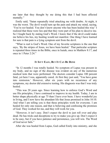me later that they thought by me doing this that I had been affected mentally."

Emily said, "Satan repeatedly tried attacking me with doubts. At night, it was the worst. The devil would turn up the pain and attack my mind, saying, 'You're *not* healed. You don't know anyone who has been healed this way' I realized that these were lies and that they were part of his plan to deceive me. So I fought back by stating God's Word. I knew that if the devil could make me believe his lies, my healing would not manifest. One thing I have learned for sure is that pain is a lying symptom sent from the devil.

"What is real is God's Word. One of my favorite scriptures is the one that says, 'By the stripes of Jesus, we have been healed.' That particular scripture is repeated three times in the Bible, once in Isaiah, once in Matthew 8:17, and once in 1 Peter 2:24."

#### **IT ISN'T EASY, BUT IT CAN BE DONE**

"In 12 months I was totally healed. No symptom of Lupus was present in my body, and no sign of the disease was evident on any of the numerous medical tests that were performed. The doctors consider Lupus 100 percent fatal, yet here I was, apparently cured. At first they just said, 'You have gone into remission.' However, after six years with no recurrence of any symptoms, my doctor did extensive testing. His diagnosis was that I was truly healed.

"This was 20 years ago. Since learning how to enforce God's Word and use His principles, I have continued to improve in my health. Today, I am in better shape physically at age 75 than I have ever been. I have wonderful joy in living, and I now have the abundant life that Jesus promised in John 10:10. And what I am telling you is that these principles work for everyone. I am healed for only one reason, and that is believing and confessing the promises of God. They worked for me, and they will work for you.

"However, it isn't easy. Don't expect the devil to just roll over and play dead. He has tricks and deceptions to try to make you give up. Don't expect it to be easy, but if you have patience and persistence, you will win. The Word of God never fails."

After she was healed from Lupus, God called Emily into ministry, and she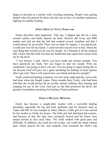began to develop as a teacher with a healing anointing. People were getting healed when she prayed for them, but she was to have yet another experience fighting for another healing.

#### **EMILY DEFEATS TOTAL PARALYSIS**

Emily describes what happened: "One day I slipped and fell on a slick cement surface and badly injured my back. Doctors did X-ray and MRI studies and told me that the fall had crushed several vertebrae and that I would always be an invalid. There was no hope for surgery. I was paralyzed. I could not even lift my hands. I could not turn myself over in bed. About the only thing that worked on me was my mouth. As I listened to all the medical talk, I knew that the truth was that my health had once again been stolen from me by the devil.

"I was furious. I said, 'Devil, you have made one serious mistake. You have paralyzed my body, but you forgot to shut my mouth. With my confession I am going to drive you out. You are going to regret doing this to me because God will give me a great anointing for healing of back injuries after I get well. Then I will expose how you attack and deceive people!"

Emily confessed healing scriptures over her body night and day, just as she had done when she fought Lupus. Three months later, Emily, who had been told that she would always be an invalid, started walking, then running and jumping for joy in the Lord. And just as she had promised the devil, she gained a tremendous anointing for healing of back problems.

#### **EMILY'S HEALING MINISTRY**

Emily has become a sought-after teacher with a powerful healing anointing, especially for hip and back problems and for diseases such as Lupus and MS. In one example in Alton, Illinois, a little girl of 4 was carried by her mother to Emily for prayer. The little girl had deformed hip sockets, and because of this, her legs were extremely bowed and her knees were turned inward to face each other. The child walked with great pain and difficulty. In addition, she could not run or play, nor could she sleep without pain. Emily prayed for her, and instantly God recreated the child's hip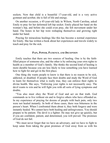sockets. Now that child is a beautiful 17-year-old, and is a very active gymnast and acrobat; she is full of life and energy.

On another occasion, a 45-year-old lady in Wilson, North Carolina, asked Emily to pray for her deformed left hip socket. Emily placed her hand on the woman's hip, and before she could even pray, she felt movement under her hand. The bones in her hip were reshaping themselves and growing right under her hand.

Praying for miraculous healings like this has become a normal experience for Emily. She has written a book about her experiences and travels widely to teach and pray for the sick.

#### **PAIN, POWER, PATIENCE, AND DECEPTION**

Emily teaches that there are two sources of healing. One is by the faithfilled prayer of someone else, and the other is by enforcing your own rights to health as a member of God's family. She thinks the second kind of healing is more durable because you are less likely to lose something you have learned how to fight for and get in the first place.

One thing she wants people to know is that there is no reason to be sick, addicted, or disabled. If people face their doubts and study the Word of God to learn for themselves what is really true, they can enforce their rights to divine health. She says, "Enforcing your rights is not necessarily easy. The devil wants to win and he will fight you with all sorts of lying symptoms and doubts.

"You also must obey the Word of God and act on that truth. God commands us to live without sin and to forgive others who have offended us. In my experience of praying for dozens of people with back pain, only two were not healed instantly. In both of those cases, there was bitterness in the person's heart. When I confronted them about it, they both forgave and were instantly healed. We cannot have both healing and unforgiveness. You should prepare to be patient. The devil is a fighter. He may not give up quickly, but if you are confident, patient, and determined, you will prevail. The promises of God do not fail.

"We must never forget that we have an adversary, and we have to fight to keep satan from taking the great promises of God away from us with his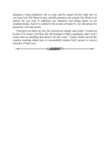deceptive, lying symptoms. He is a liar, and he cannot tell the truth, but we can trust God. His Word is sure, and His promises are certain. His Word is an anchor for our soul. It stabilizes our emotions and brings peace to our troubled minds. And if we abide by the words in Psalm 91, we will always be protected, safe and secure.

"God gave me back my life. He restored my energy and youth. I would not be here if it weren't for Him. My life belongs to Him completely, and I won't waste time on anything that doesn't do His work." Today, Emily travels the country teaching others how to successfully release God's power to receive miracles of their own.

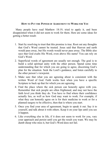### **HOW TO PUT THE POWER OF AGREEMENT TO WORK FOR YOU**

Many people have read Matthew 18:19, tried to apply it, and been disappointed when it did not seem to work for them. Here are some ideas for getting a better result:

- 1. Start by resolving to trust that this promise is true. Root out any thoughts that God's Word cannot be trusted. Jesus said that Heaven and earth would pass away, but His words would never pass away. The Bible also says that God exalts His Word, even above His name! You can rely on God's Word.
- 2. Superficial words of agreement are usually not enough. The goal is to build a solid spiritual unity with the other person. Spend some time understanding that for which you are going to agree, discerning God's plan for the situation. Seek the Lord's guidance, and listen carefully to the other person's viewpoint.
- 3. Make sure that what you are agreeing about is consistent with the written Word of God. Faith works best when you have a specific Scripture to back up that for which you are agreeing.
- 4. Find the place where the sick person can honestly agree with you. Remember that sick people are often frightened, and may not have the faith level you think they do. You have to find where their confidence actually lies, as well as how God may want to work. For example, if what they can honestly agree on is for their medicine to work or for a planned surgery to be effective, then that is where you start.
- 5. Once you find your area of agreement, begin to speak it out. Say it to yourself, and talk about it with others. Keep it on your lips until you see it happen.
- 6. Like everything else in life, if it does not seem to work for you, vary your approach and persist until you get the result you want. We may be dumb sheep who miss it, but God's Word does not fail.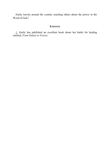<span id="page-48-1"></span>Emily travels around the country teaching others about the power in the Word of God.<sup>[1](#page-48-0)</sup>

### **ENDNOTE**

<span id="page-48-0"></span>[1.](#page-48-1) Emily has published an excellent book about her battle for healing entitled, *From Defeat to Victory*.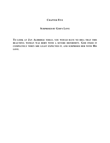# **CHAPTER FIVE**

# **SURPRISED BY GOD'S LOVE**

**TO LOOK AT JAN ALDRIDGE TODAY, YOU WOULD HAVE NO IDEA THAT THIS BEAUTIFUL WOMAN WAS BORN WITH A SEVERE DEFORMITY. GOD FIXED IT COMPLETELY WHEN SHE LEAST EXPECTED IT, AND SURPRISED HER WITH HIS LOVE**.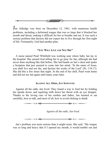Jan Aldridge was born on December 12, 1961, with numerous health problems, including a deformed tongue that was so large that it blocked her mouth and throat, making it difficult for her to breathe and eat. It was such a serious problem that doctors did not expect her to live through her first night of life. Fortunately, God had another plan.

#### **"YOU WILL LIVE AND NOT DIE"**

A nurse named Pearl Whitfield was working near where baby Jan lay in the hospital. She sensed God telling her to go pray for Jan, although she had never done anything like that before. She laid hands on Jan's chest and spoke a Scripture that just seemed to come into her mind, "In the name of Jesus, you shall live and not die, and declare the works of the Lord" (Ps. 118:17). She did this a few times that night. At the end of her shift, Pearl went home and did not see Jan again until many years later.

#### **AGAINST ALL ODDS, JAN SURVIVED**

Against all the odds, Jan lived. They found a way to feed her by holding her upside down, and squirting milk down her throat with an eye dropper. Thanks to the loving care of her mother and father, Jan learned to eat carefully, how to talk, and most of all, how to avoid choking to death.



Jan's problem was more serious than it might seem. She said, "My tongue was so long and heavy that if I opened my mouth, it would tumble out and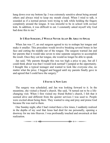hang down over my bottom lip. I was extremely sensitive about being around others and always tried to keep my mouth closed. When I tried to talk, it sounded as if a normal person were trying to talk while holding the fingers completely around the tongue. It was stressful to be in school with *normal* kids. In addition, it was difficult to eat. I constantly asked myself why God had done this to me."

#### **IF I HAD SURGERY, I WOULD NEVER AGAIN BE ABLE TO SPEAK**

When Jan was 17, an oral surgeon agreed to try to reshape her tongue and make it smaller. This procedure would involve breaking several bones in her face and cutting the middle out of the tongue. The surgeon warned Jan and her parents that it would take seven to nine separate surgeries to accomplish the result. Once they cut her tongue, she would no longer be able to speak.

Jan said, "My parents thought this was too high a price to pay, but all I could think about was that I would look normal! I jumped at the opportunity. I thought like a typical teenager and wanted to look like everyone else, no matter what the price. I begged and begged until my parents finally gave in and agreed that I could have the surgery."

#### **I FOUND A NEW LIFE**

The surgery was scheduled, and Jan was looking forward to it. In the meantime, she visited a friend's church. She said, "It turned out to be a lifechanging visit. When I first visited my friend Robin's church, I felt that it seemed alive and different from the quieter services I was used to. People were excited about being there. They wanted to sing and pray and praise God because He was real to them.

One Sunday night, after I had visited there a few times, I suddenly realized in the depths of my soul that Jesus had died for me personally, opening a doorway for me into Heaven. I was profoundly touched and awestruck at that realization.

**Company of the United States**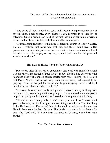*The peace of God flooded my soul, and I began to experience the joy of my salvation*.

"The peace of God flooded my soul, and I began to experience the joy of my salvation. I tell people, every chance I get, to press in to that joy of salvation. Once a person lays hold of the fact that his or her name is written in the Book of Life, it is the greatest miracle that can happen.

"I started going regularly to that little Pentecostal church in Holly Navarre, Florida. I realized that Jesus was with me, and that I could live in His presence every day. My problems just were not as important anymore. I still intended to have the surgery on my tongue, and I just knew that things would somehow work out."

### **THE PASTOR HAS A WORD OF KNOWLEDGE FOR JAN**

Two weeks after this salvation experience, Jan went with friends to attend a youth rally at the church of Paul Wetzel in Jay, Florida. She describes what happened next: "The church service started with some singing, but I noticed that Pastor Wetzel had turned away from the audience, and seemed to be praying. Then he stopped the music and began weeping. After a while, I heard him say 'Show me who it is, Lord.'

"Everyone bowed their heads and prayed. I closed my eyes along with everyone else, wondering what was going on. I was amazed when the pastor tapped me gently on the shoulder, and asked me to step out to the hallway.

"He said to me, 'Young lady, I don't know you, and I don't know what your problem is, but the Lord gave me two things to tell you. The first thing is that He loves you. The second thing is that the Lord said to remind you that He will bear your burdens for you. The burden you carry is too heavy for you. The Lord said, 'If I can bear the cross to Calvary, I can bear your burden<sup>"</sup>

### **YOU CAN TRUST GOD'S WORD**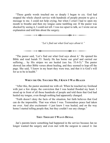"These gentle words touched me so deeply I began to cry. God had stopped the whole church service with hundreds of people present to give a message to me. I could not help crying, but when I cried I had to open my mouth to breathe and then my tongue came tumbling out. If the pastor was shocked by seeing it, I could not tell. I was too upset to talk, so I wrote out an explanation and told him about the surgery.



"The pastor said, 'Let's find out what God says about it.' He opened his Bible and read Isaiah 53: Surely He has borne our grief and carried our suffering… by His stripes we are healed (see Isa. 53:4-5)." The pastor showed Jan other Bible verses about healing, and they seemed to leap off the page. She said, "I knew in my heart they were true, and that it is God's will for us to be in health."

#### **WHEN THE OIL TOUCHED ME, I KNEW I WAS HEALED**

"After this, the pastor anointed me with oil. When he touched my forehead with just a few drops, the conviction that I was healed flooded my heart. I stood up in front of all those hundreds of people and told them that God had healed my tongue, even though nothing had apparently changed.

"Faith doesn't deny the facts of the situation, but faith believes that God can do the impossible. That was where I was. Tremendous peace had taken me over. And also excitement—I just knew I was healed, and on the way home I started telling people that, but they couldn't see any change."

#### **THEY THOUGHT I WAS IN DENIAL**

Jan's parents knew something had happened in the service because Jan no longer wanted the surgery and even met with the surgeon to cancel it. Jan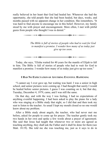really believed in her heart that God had healed her. Whenever she had the opportunity, she told people that she had been healed, but days, weeks, and months passed with no apparent change in her condition. She remembers, "It was hard to find anyone to encourage me in this belief. However, my family stood by me with prayer and encouragement. More often, I met with pitiful gazes from people who thought I was in denial."

 $-22 - 0 + 1 - 1$ 

*The Bible is full of stories of people who had to wait for God to manifest a promise. I wonder how many of us today just give up too soon*.

**din-00-**

Today, she says, "Elisha waited for 40 years for the mantle of Elijah to fall to him. The Bible is full of stories of people who had to wait for God to manifest a promise. I wonder how many of us today just give up too soon."

#### **I HAD NO EXPECTATION OF ANYTHING EVENTFUL HAPPENING**

"I cannot say I ever gave up, but waiting was hard. I was a senior in high school, and senior pictures were coming up. I had thought that surely I would be healed before senior pictures. I guess I was counting on it, but that day, Tuesday, December 4, 1979, came, and I was still the same.

On that day, and with the way I was feeling, I had no expectations of anything eventful happening. I had been asked to play the piano for a lady who was singing at a Bible study that night, so I did that and then took my seat to listen to the teacher. As usual I kept my mouth closed so no one would know about my problem.

After a Bible study about angels, the teacher, who had never met me before, asked for people to come up for prayer. The teacher gently took my two hands in her own and spoke a few words about a prayer of agreement. She said that Jesus had taught that whenever two or more are agreed as touching anything, they shall ask the Father and it shall be done for them (see Matt. 18:19). She told me she was touching me, just as it says to do in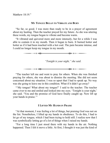Matthew 18:19."

#### **MY TONGUE BEGAN TO VIBRATE AND BURN**

"So far, so good. I was more than ready to be in a prayer of agreement about my healing. Then the teacher prayed for my future. As she was uttering these words, my tongue began to vibrate and become warm.

"It vibrated and quivered more and more intensely, but for a while I was able to contain it in my mouth. Then it began to burn. It burned hotter and hotter as if it had been touched with a hot coal. The pain became intense, and I could no longer keep my tongue in my mouth.



"The teacher left me and went to pray for others. When she was finished praying for others, she was about to dismiss the meeting. She did not seem concerned about my situation. I was so upset that I had to speak up. No way was she going to leave me in this condition. What if it didn't go away?

"'My tongue! What about my tongue?' I said to the teacher. The teacher came over to me and smiled and looked into my eyes. 'Tonight is your night,' she said. 'You and the promise of God have finally caught up. Now lift up your hands in praise.'"

### **I LIFTED MY HANDS IN PRAISE**

"At that moment, I was feeling a lot of things, but praising God was not on the list. Nonetheless, I lifted up my hands in obedience. To do this, I had to let go of my tongue, which I had been trying to hold still. I realize now that I was symbolically letting go of a lot of things when I raised my hands.

"For a long time I just stood there with my hands in the air. Nothing happened. Then I felt it move a little. At first, I thought it was just the kind of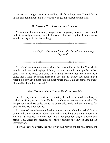movement you might get from standing still for a long time. Then I felt it again, and again after that. My tongue was getting shorter and smaller!"

#### **MY TONGUE WAS COMPLETELY NORMAL!**

"After about ten minutes, my tongue was completely normal. It was small and fit perfectly inside my mouth. I was so filled with joy that I didn't know whether to cry or to faint or to laugh.

*For the first time in my life I called her without sounding impaired*.

"I couldn't wait to get home to share the news with my family. The whole way home I practiced saying, 'Mama,' so that it would sound perfect to her ears. I ran in the house and cried out 'Mama!' For the first time in my life I called her without sounding impaired. She and my daddy had been in bed sleeping, but when I burst into the quiet house and called her name, she knew at once that I had been healed."

#### **GOD CARES FOR YOU JUST AS HE CARES FOR ME**

In reflecting on the experience, Jan said, "I tried to put God in a box, to make Him fit my expectations. He is so much more than we can imagine. He is a personal God. He called out to me personally. He is real, and He cares for you just like He cares for me."

As news of her miraculous healing spread, many churches asked Jan to come and share her story. One night, while speaking at a small church in Florida, Jan noticed an older lady in the congregation begin to weep and praise God. After the meeting, the pastor brought the lady to Jan for an introduction.

She was Pearl Whitfield, the nurse who had prayed for Jan that first night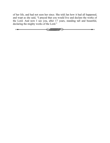of her life, and had not seen her since. She told Jan how it had all happened, and wept as she said, "I prayed that you would live and declare the works of the Lord. And now I see you, after 17 years, standing tall and beautiful, declaring the mighty works of the Lord."

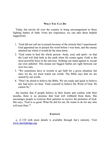### **WHAT YOU CAN DO**

Today Jan travels all over the country to bring encouragement to those fighting battles of faith. From her experience, we can take these helpful suggestions:

- 1. "God did not call me to preach because of the miracle that I experienced. God appointed me to preach His word before I was born, and the enemy attacked me where it would do the most harm.
- 2. "God wants to heal the whole person—body, soul, and spirit—so that the Lord will find faith in the earth when He comes again. Faith is the most powerful force in the universe. Nothing can stand against it, except our own unbelief. This means our biggest battles are right between our own two ears.
- 3. "We sometimes have to wrestle to get faith for a given situation, but once we do, we must watch our words. The Bible says that we are snared by our words.
- 4. "Don't be afraid to believe the Bible. We are ready and quick to believe any bad news we hear. Train yourself to believe the Word of God. He cannot lie."

<span id="page-58-1"></span>Jan teaches that if people believe in their hearts and confess with their mouths, there is no promise that God will withhold from them. She encourages people to exercise their patience to receive the promises of God. She says, "God is so good. What He did for me, He wants to do for any who will trust Him."<sup>[1](#page-58-0)</sup>

### **ENDNOTE**

<span id="page-58-0"></span>[1.](#page-58-1) A CD with more details is available through Jan's ministry. Visit [www.JanAldridge.org](http://www.JanAldridge.org).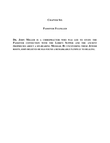### **CHAPTER SIX**

## **PASSOVER FULFILLED**

**DR. JOHN MILLER IS A CHIROPRACTOR WHO WAS LED TO STUDY THE PASSOVER CONNECTION WITH THE LORD'S SUPPER AND THE ANCIENT PROPHECIES ABOUT A SIN-BEARING MESSIAH. BY UNCOVERING THESE JEWISH ROOTS, JOHN BELIEVES HE HAS FOUND A REMARKABLE PATHWAY TO HEALING**.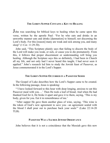### **THE LORD'S SUPPER CONTAINS A KEY TO HEALING**

John was searching for biblical keys to healing when he came upon this verse, written by the apostle Paul: "For he who eats and drinks in an unworthy manner eats and drinks [damnation] to himself, not discerning the Lord's body. For this [reason] many are weak and sick among you, and many sleep" (1 Cor. 11:29-30).

John said, "This Scripture plainly says that failing to discern the body of the Lord will make you weak, or sick, or cause you to die prematurely. From this, it follows that proper discernment or understanding will bring you healing. Although the Scripture says this so definitely, I had been in Church all my life, and not only had I never heard this taught, I had never seen it applied." John's research led him to study the Jewish feast of Passover, as Jesus commemorated it in the Lord's Supper.

#### **THE LORD'S SUPPER OCCURRED IN A PASSOVER SEDER**

The Gospel of Luke describes how the Lord's Supper came to be created. In the following passage, Jesus is speaking:

"'I have looked forward to this hour with deep longing, anxious to eat this Passover meal with you….' Then He took a loaf of bread; And when He had thanked God for it, He broke it apart and gave it to them, saying, 'This is my body, given for you. Eat it in remembrance of me.'

"After supper He gave them another glass of wine, saying, 'This wine is the token of God's new agreement to save you—an agreement sealed with the blood I shall pour out to purchase back your souls'" (Luke 22:14-20 TLB).

### **PASSOVER WAS A SACRED JEWISH OBSERVANCE**

John believes that it is not a coincidence that the Messiah gave this new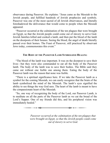observance during Passover. He explains: "Jesus came as the Messiah to the Jewish people, and fulfilled hundreds of Jewish prophecies and symbols. Passover was one of the most sacred of all Jewish observances, and literally foreshadowed the deliverance that would come to people when the Messiah appeared.

"Passover occurred at the culmination of the ten plagues that were brought on Egypt, so that the Jewish people could come out of slavery to serve God. Jewish families killed and cooked a lamb, and then put the blood of the lamb on the doorposts of their houses. Seeing the blood, the angel of death literally passed over their homes. The Feast of Passover, still practiced by observant Jews today, commemorates this event."

### **THE BODY OF THE PASSOVER LAMB SYMBOLIZED HEALING**

"The blood of the lamb was important. It was on the doorpost to save their lives—but they were also commanded to eat all the body of the Passover lamb. The body of the lamb was to save their bodies. The Bible said they came out without one feeble one among them. Eating the body of the Passover lamb was the reason that none was feeble.

"There is a spiritual significance here. If we take the Passover lamb as a symbol for the coming Messiah, we can easily recognize that the brain of the lamb symbolized the mind of the Messiah. The lamb's eyes signified the ability to see things the way God sees. The heart of the lamb is meant to have the compassionate heart of the Messiah.

"So, one way of recognizing the body of the Lord, our Passover Lamb, is to meditate on all the parts of the Passover lamb as we eat the bread of the Lord's Supper. One of my friends did this, and his peripheral vision was immediately healed."



*Passover occurred at the culmination of the ten plagues that were brought on Egypt, so that the Jewish people could come out of slavery to serve God*.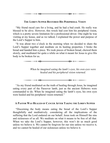

### **THE LORD'S SUPPER RESTORED HIS PERIPHERAL VISION**

"My friend raced cars for a living, and he had a bad crash. He really was blessed to be alive. However, this wreck had cost him his peripheral vision, which is a pretty severe limitation for a professional driver. One night he was visiting at my house, and as we talked, I explained the power and purpose of the Lord's Supper to him.

"It was about two o'clock in the morning when we decided to share the Lord's Supper together and meditate on its healing properties. I broke the bread and handed him a piece. We took pieces of broken bread, chewed them slowly, and meditated for quite a while on what it meant for Jesus to give His body to be broken for us.

**Allen Address and** 

*When he imagined eating the lamb's eyes, his own eyes were healed and his peripheral vision returned*.

"As my friend meditated on the truth of healing through Jesus, he imagined eating every part of the Passover lamb, just as the ancient Hebrews were commanded to do. When he imagined eating the lamb's eyes, his own eyes were healed and his peripheral vision returned."

### **A PASTOR WAS HEALED OF CANCER AFTER TAKING THE LORD'S SUPPER**

"Discerning the body means eating the bread of the Lord's Supper thoughtfully and meditatively. considering all the implications of the suffering that the Lord endured on our behalf. Jesus took on Himself the sins and sicknesses of us all. We meditate on what it means to be free of all that. When we take the Lord's Supper, however, this won't do us much good unless we believe it. We cannot be forgiven for our sins unless we receive it, and we cannot be healed of our sicknesses unless we believe it.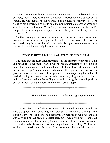"Many people are healed once they understand and believe this. For example, Troy Miller, no relation, is a pastor in Florida who had cancer of the kidney. He was bedfast in the hospital, not expected to recover. The Lord spoke to his mother, telling her to take the Communion elements of bread and wine to him in the hospital. When Troy received Communion, or the Lord's Supper, the cancer began to disappear from his body, even as he lay there in the hospital."

Another example is from a young mother named Jane who was hospitalized with numerous injuries after a terrible car wreck. The doctors were predicting the worst, but when her father brought Communion to her in the hospital, she immediately began to get better.

### **HEALING IS OFTEN GRADUAL, NOT SUDDEN AND SPECTACULAR**

One thing that Sid Roth often emphasizes is the difference between healing and miracles. He teaches: "Many times people are expecting their healing to take place dramatically and immediately. I think they get miracles and healing mixed up. Miracles are immediate and often spectacular. However, in practice, most healing takes place gradually. By recognizing the value of gradual healing, we can increase our faith immensely. It gives us the patience and confidence to wait on the healing to manifest, recognizing small, positive changes as we make daily observance of the Lord's Supper."

*She had been in medical care, but it wasgivinghernohope*.

John describes two of his experiences with gradual healing through the Lord's Supper: One young lady was brought to me who was dying from Epstein Barr virus. The virus had destroyed 39 percent of her liver, and she was very ill. She had been in medical care, but it was giving her no hope. At my suggestion, she began taking Communion three times a day, discerning the Lord's body, broken so that she might have her healing. Within two weeks, I received a call from her father who said that her lab tests were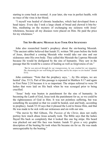starting to come back as normal. A year later, she was in perfect health, with no trace of the virus in her blood.

"I myself was healed of chronic headaches, which had developed from a head injury. Every day I took a large chunk of bread and chewed it bite-bybite, meditating on the mystery of exchanging my sickness with Jesus' wholeness, because all my diseases were placed on Him. He paid the price for my wholeness."

#### **THE SIN-BEARING MESSIAH ALSO TOOK OUR SICKNESSES**

John also researched Isaiah's prophecy about the sin-bearing Messiah. "The ancient rabbis believed that Isaiah 53, written 700 years before the birth of Jesus, described a coming Messiah who would take our sins and our sicknesses onto His own body. They called this Messiah the Leprous Messiah because He would be disfigured by the sins of humanity. They saw in the passage that He would be a source of healing as well as forgiveness of sin."

> *"But he was pierced through for our transgressions, he was crushed for our iniquities; The chastening for our well-being fell upon him, and by his stripes we are healed"* (Isaiah 53:5).

John continues: "Note that the prophecy says, '…by His stripes, we are healed' (Isa. 53:5). Part of this passage is repeated in Matthew 8:17 and again in First Peter 2:24 because it is so important. The stripes referred to were 39 lashes that were laid on His back when he was scourged prior to being crucified.

"Jesus' body was beaten in punishment for the sins of humanity. In becoming the Lamb of God, Jesus took the punishment for us, so we could be the righteousness of God in Him. It was not pointless suffering, but was something He accepted so that we could be healed, soul and body, according to prophecy. Isaiah 53:10 says that it pleased the Lord to bruise Him, and that He was made to be sick with our sicknesses and sin with our sins.

"The movie by Mel Gibson, *The Passion of the Christ*, does not really portray how much abuse Jesus actually took. The Bible says that the lashes flayed His back so completely that it looked like one big stripe. His beard was plucked out and His face was beaten. Isaiah 53 gives a very graphic description of the beating He took when He became sin for us. He was made unrecognizable by the beating."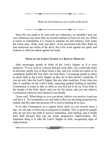

*Both sin and sicknesses are works of the devil*.

Since He was made to be sick with our sicknesses, we shouldn't bear our own sicknesses any more than we should continue to bear our own sin. When it comes to redemption, it is wrong to separate sin and sickness. God wants the whole man—body, soul, and spirit—to be reconciled with Him. Both sin and sicknesses are works of the devil. Sin is his work against our spirit, and sickness is often his attack against our body.

## **THINK OF THE LORD'S SUPPER AS A KIND OF MEDICINE**

John encourages people to think of the Lord's Supper as if it were medicine: "If you went to a doctor and got some pills, you would take them as directed, maybe two or three times a day, and you would not expect to be completely healed the first time you took them. I encourage people to place as much faith in the Lord's Supper as they do in their doctor's medicine. If you are sick, take the Lord's Supper like any other medicine. Every time you take it, meditate on the Lord's body, expecting gradual healing to manifest. Communion is yours to take as often as you feel led to do so. Your body is the temple of the Holy Spirit, and you are the priest, and you can observe Communion wherever and whenever you decide.

"Jesus said, 'What things so ever you desire, believe you receive it and you will have it.' In Communion you can believe that you are being progressively healed, and this takes the pressure off to receive healing all at once.

If we take Communion on a regular basis, daily or even several times a day, we can take it believing in progressive healing. This is good for people who do not have the faith to receive immediate, total healing, and it builds their faith because they can see small, progressive improvements. The important thing is to take the Lord's Supper in faith, recognizing signs of improvement.

<u> Angelingen i Sta</u>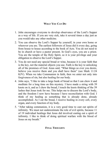# **WHAT YOU CAN DO**

- 1. John encourages everyone to develop observance of the Lord's Supper as a way of life. If you are very sick, take it several times a day just as you would take any other medicine.
- 2. You can observe the Lord's Supper by yourself, in your own home or wherever you are. The earliest followers of Jesus did it every day, going from house to house according to the book of Acts. You do not need to be in church or have a pastor present. In God's eyes, you are a priest. You are the temple of the Holy Spirit, so it is your privilege and your obligation to observe the Lord's Supper.
- 3. You do not need any special bread or wine, because it is your faith that is the key, not the material objects you use. Faith is the key to unlocking all of the promises of God. Jesus said, "What things so ever you desire, believe you receive them and you shall have them" (see Mark 11:24 KJV). When we take Communion in faith, then we enter not only into forgiveness of sin, but also healing for our body.
- 4. John says, "I like to take a large hunk of bread so that I can chew it and meditate for a long time on this mystery. I have made a string with 39 knots on it, and as I chew the bread, I touch the knots thinking of the 39 lashes that Jesus took for me. This helps me to discern the Lord's body, and the freedom I now have because I have reconciliation with God. I think of my healing as something that is already done, already accomplished. As I eat the bread, I receive healing in every cell, every organ, and every function of my body.
- 5. "After taking communion, it is a very good time to cast out spirits of infirmity. We must not underestimate the role of evil spirits, because 11 of 19 individual healings that Jesus did involved casting out a spirit of infirmity. I like to think of doing spiritual warfare with the blood of Jesus on my breath."

# **FINAL THOUGHTS**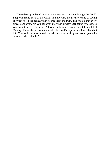"I have been privileged to bring the message of healing through the Lord's Supper in many parts of the world, and have had the great blessing of seeing all types of illness healed when people learn the truth. The truth is that every disease and every sin you can ever know has already been taken by Jesus, so you do not have to suffer it. Put your faith into receiving what Jesus did at Calvary. Think about it when you take the Lord's Supper, and have abundant life. Your only question should be whether your healing will come gradually or as a sudden miracle."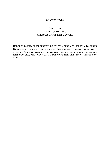### **CHAPTER SEVEN**

## **ONE OF THE GREATEST HEALING MIRACLES OF THE 20TH CENTURY**

**DELORES PASSED FROM PENDING DEATH TO ABUNDANT LIFE IN A KATHRYN KUHLMAN CONFERENCE, EVEN THOUGH SHE HAD NEVER BELIEVED IN DIVINE HEALING. SHE EXPERIENCED ONE OF THE GREAT HEALING MIRACLES OF THE 20TH CENTURY, AND WENT ON TO DEDICATE HER LIFE TO A MINISTRY OF HEALING**.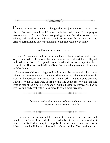Delores Winder was dying. Although she was just <sup>48</sup> years old, <sup>a</sup> bone disease that had tortured her life was now in its final stages. Her esophagus was ruptured, a fractured bone was poking through her skin, organs were failing, and the doctors said they could do no more for her. Delores was granted permission to leave the hospital so that she could die at home.

#### **A RARE AND PAINFUL DISEASE**

Delores's symptoms had begun in childhood; she seemed to break bones very easily. When she was in her late twenties, several vertebrae collapsed and had to be fused. The spinal fusion failed and had to be repeated three more times. Her doctors finally realized that something was terribly wrong with her bones.

Delores was ultimately diagnosed with a rare disease in which her bones thinned out because they could not absorb calcium and other needed minerals from her bloodstream. This made them old and brittle and as easy to break as a twig. Her hip sockets were so fragile that she could barely walk, and she lived in fear of them failing completely. As the disease progressed, she had to live in a full body cast with a neck brace to avoid more breakage.



*She could not walk without assistance, hold her own child, or enjoy anything like a normal life*.

Delores also had to take a lot of medication, and it made her sick and unable to eat. Toward the end, she weighed only 73 pounds. She was almost completely disabled and required help for the most simple body functions. It is hard to imagine living for 15 years in such a condition. She could not walk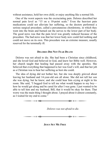without assistance, hold her own child, or enjoy anything like a normal life.

One of the worst aspects was the excruciating pain. Delores described her normal pain level as "15 on a 10-point scale." Even the heaviest pain medications could not alleviate her suffering, so the doctors performed a serious surgical procedure, called a percutaneous chordotomy, in which they went into the brain and burned out the nerves to the lower part of her body. The good news was that the pain level was greatly reduced because of the procedure. The bad news was that her lower body now could feel nothing and could not move on its own. This procedure was an extreme measure, usually reserved for the terminally ill.

### **DELORES DID NOT FEAR DEATH**

Delores was not afraid to die. She had been a Christian since childhood, and she loved God and believed in God, and knew her Bible well. However, her church taught that healing had passed away with the apostles. She believed that everything that happened to her was God's will, and that her job as a Christian was to bear her suffering as best she could.

The idea of dying did not bother her, but she was deeply grieved about leaving her husband and 14-year-old son all alone. She did not tell her son she was dying, but he knew; and she could hear him crying at night in his room. She said, "I begged God to tell me what would happen to my boy how he would get along and be cared for after I was gone. I just wanted to be able to tell him and my husband, Bill, that it would be okay for them. That worry was the main thing I thought about. I prayed about it almost constantly, as I waited for my end to come."



*Delores was not afraid to die*.

**JESUS SET ME FREE**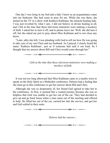One day I was lying in my bed and a lady I knew as an acquaintance came into my bedroom. She had come to pray for me. While she was there, she turned on the TV to a show with Kathryn Kuhlman, the miracle-healing lady. I was just revolted by what I saw. I did not believe in divine healing at all, and I felt at the time that these television ministries were making a mockery of faith. I asked her to turn it off, and to please leave me. Well, she did turn it off, but she asked me just to pray about Miss Kuhlman and to not close any doors.

"Later, after she left, I was pleading with God to tell me how He was going to take care of my son Chris and my husband. As I prayed, I clearly heard the name 'Kathryn Kuhlman', just as if someone had said it out loud. So I thought that my answer about Bill and Chris would come through her."



It was not too long afterward that Miss Kuhlman came to a nearby town to speak on the Holy Spirit at a Methodist conference. Delores had a feeling that she must go to this conference to get her answer about Bill and Chris.

Although she was so desperately ill, her friend Gail agreed to take her to the conference. At first, it seemed like a wasted journey because she was so helpless that Gail was unable to get her out of the car. They had decided to give up and go back home when a man came out of the meeting and offered to help. He lifted her out of the car, carried her into the service, and got her and Gail settled in their seats.

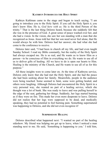#### **KATHRYN INTRODUCES THE HOLY SPIRIT**

Kathryn Kuhlman came to the stage and began to teach saying, "I am going to introduce you to the Holy Spirit. If you call the Holy Spirit *it*, you don't know Him. He is, *God here with us*. He is the third Person of the trinity." That is the last thing Delores heard, because she suddenly felt that she was in the presence of God. A great sense of peace washed over her, and she had a vision. In the vision, she saw her son standing with a man that she recognized as Jesus. Jesus told her that her son need never feel alone, that He would always be with him. Delores had her answer; she had what she had come to the conference to receive.

Delores later said, "I had been in church all my life, and had even taught Sunday School. I read my Bible constantly, but the reality of the Holy Spirit had always escaped me. He is so real, and He wants us to know Him as a person—to be conscious of Him in everything we do. He wants to use all of us to deliver gifts of healing. All we have to do is open our hearts to Him. Healing is the ministry of the Church, and He wants to use all of us for this purpose."

All these insights were to come later on. At the time of Kathryns service, Delores only knew that she had met the Holy Spirit, and she had the peace she had been seeking about her family. Meanwhile, people in the audience were being touched. Some seemed to faint, some were getting healed, and others were laughing. Although Delores had encountered the Holy Spirit in a very personal way, she wanted no part of a healing service, which she thought was a lot of bunk. She was ready to leave and was pulling herself to the edge of the seat, gathering her things. Suddenly, her legs started burning as if they were on fire. This made her even more desperate to leave. Delores did not realize that her legs were supposed to be dead, and medically speaking, they had no potential to feel burning pain. Something supernatural was happening to Delores, and she did not even recognize it!

#### **SURPRISED BY HEALING**

Delores described what happened next: "I wanted no part of the healing sideshow. My friend was helping me get up to leave, when I noticed a man standing next to me. He said, 'Something is happening to you.' I told him,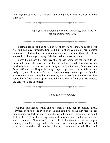'My legs are burning like fire, and I am dying, and I need to get out of here right now."

 $-0.0000$ 

*"My legs are burning like fire, and I am dying, and I need to get out of here right now."*

He helped her up, and as he helped her shuffle to the door, he asked her if she had had any surgeries. She told him a short version of her medical condition, including the pain-deadening surgery. The man then asked how she could feel her legs burning if she had had her nerves deadened!

Delores then heard the man say that he had come off the stage to her because he knew she was being healed. At first she thought this was just too hard to believe, but there was something in his face that said, *he knows what he is talking about*. Despite her misgivings, he persuaded her to take off her body cast, and allow herself to be carried to the stage to meet personally with Kathryn Kuhlman. There, her greatest joy and worst fear came to pass. She found herself being held up to stand with Kathryn in front of 3,000 people, the center of a big spectacle.



Kathryn told her to walk, and the men holding her up backed away. Terrified of falling, she tried to prove she could not move her feet. To her amazement, her feet did move, and she started walking. Suddenly, she could feel the floor! Then the feeling came back into her hands and arms, and she started shouting, "I can feel! I can feel!" Later they told her she began running around the stage. When she came back, Kathryn told her to bend over, and she did so, finding her spine was completely healed. She could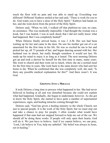touch the floor with no pain and was able to stand up. Everything was different! Different! Kathryn smiled at her and said, "There is work for you to do. God wants you to have a dose of the Holy Spirit." Kathryn laid hands on her, and she went down from the power of the Holy Spirit.

Delores said, "When we left, I walked off that platform-no cast, no cane, no assistance. This was medically impossible. I had thought the woman was a kook, but I was healed. I was in such shock that I did not really know what had happened. But I was completely healed!"

When Delores finally arrived home, it was 2 A.M. Her son had been waiting up for her and came to the door. He saw his mother get out of a car unassisted for the first time in his life. He was so excited he ran to her and picked her up, all 73 pounds of her, and began dancing around with her. Her husband was in shock, but really thought somehow it would not last. He made up his mind to enjoy it as long as it lasted. The next morning Delores got up and took a shower by herself for the first time in many, many years. She went to church and then went out to lunch, where she ate a normal meal for the first time in years. She went back to the same doctor who had sent her home to die. When he confirmed that she was completely well, she said, "Is there any possible medical explanation for this?" And there wasn't. It was God.

#### **GROWING INTO A MIRACLE**

It took Delores a long time to process what happened to her. She had never believed in healing at all and was disturbed because she could not explain what had happened. Gradually, she began to understand, however. As she got to know the Holy Spirit, she started to have quite a number of supernatural experiences, signs, and healing miracles coming through her.

Delores said, "God has given a healing ministry to the whole Church, not just to special people. It is the work of the Holy Spirit, but we must step out and take a chance to pray for people. I often wonder what would have happened if that man had not stepped forward to help me out of the car. We should all be doing these works. If people will only open their hearts, God will do it. We just have to believe. And if we cannot believe, we can pray, 'Lord, I do believe in You, help my unbelief.' My belief was always in Jesus, not in healing."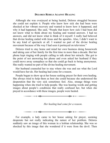#### **DELORES REBELS AGAINST HEALING**

Although she was overjoyed at being healed, Delores struggled because she could not explain it. People who knew how sick she had been were shocked at her vibrant recovery and wanted to know how it happened, and why it had happened. She said, "People that knew how sick I had been did not know what to think about my healing and wanted answers. I had no answers, and did not know what to think of it myself. I really had believed that divine healing ended with Jesus and the apostles. Also, I didn't want to be any kind of spectacle at all. I wanted no part of the divine healing movement because of the way I had seen it portrayed on television."

Delores tried to stay home and mind her own business doing housework and taking care of her family for the first time in more than a decade. But her phone kept ringing with people calling to talk about her miracle. She got to the point of not answering her phone and even asked her husband if they could move away someplace so that she could go back to being anonymous. She really wanted no part of the divine healing movement.

Her husband counseled her to stay where she was and see what the Lord would have her do. Her healing had come for a reason.

People began to show up at her house seeking prayer for their own healing. She always tried to help them as best she could because she understood the desperation that the very sick sometimes feel. Also, strange things were happening when she tried to help people. She was hearing words and getting images about people's conditions that really confused her, but when she prayed in accordance with these images, people were healed.



*Her healing had come for a reason*.

**CONTRACTOR** 

For example, a lady came to her house asking for prayer, seeming desperate but not really indicating the nature of her problem. Delores suddenly saw an image of this woman in a lesbian relationship. She was so shocked by this image that she wondered if it were from the devil. Then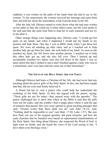suddenly it was written on the palm of her hand what she had to say to the woman. To her amazement, the woman received her message and came back later and told her about the tremendous work God had done in her life.

After the lady left, Delores started to write down what she had seen written on her palm so that she could use it when others came, but the Lord spoke to her and said that she must trust Him to lead her in each situation and not try to pre-plan it.

Other strange things were happening also. Delores said, "I would get hot spots on my hands, and when it happened I would put my hands in my pockets and hide them. One day I was at Bible study when I got these hot spots. We were all standing up after class, and as I reached out to help another lady get up from her chair, she took hold of my hand. As soon as she touched my hand, she fell down onto another person. I reached out to help this other lady get up, and she also fell over. Then I backed up and accidentally touched two others who also fell down in the Spirit. I was so upset about this that I rushed to leave and I brushed against a lady who was in a wheelchair, and I was later told she came out of that wheelchair."

#### **THE GIFTS OF THE HOLY SPIRIT ARE FOR TODAY**

Although Delores had been a Christian all her life, she had never had any teaching about the power gifts of the Holy Spirit. In fact, she had been taught that they did not exist and firmly believed it.

A friend led her to visit a pastor who could help her understand the workings of the Holy Spirit. At first she argued with the pastor, saying, "These gifts are not for today—they passed away with the apostles." The pastor challenged her to show him where in the Bible it said that the gifts were not for today, and she couldn't find a single place where it said the age of miracles had passed. Her eyes were opened to great teaching passages that said, "Greater works than these shall you do" (see John 14:12). And, "Nothing shall be impossible to you" (see Matt. 17:20; Luke 1:37). She saw how Paul, not one of the original apostles, did great miracles, and how the early churches that he founded were based on supernatural manifestations of the Holy Spirit. One thing about Delores, she respected the Word of God. A light went on inside, and she heard the voice of the Lord saying to her, "I have taken your theology away."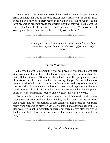Delores said, "We have a watered-down version of the Gospel. I am a prime example that God is the same Healer today that He was in Jesus' time. If people will only open their hearts to it, God will do the miracles. People have become so programmed to the worldly way that they will not believe the truth of the Gospel. This is exactly what happened to me. My prayer is that you begin to believe, and ask the Lord to help your unbelief."

> *Although Delores had been a Christian all her life, she had never had any teaching about the power gifts of the Holy Spirit*.  $-8 + + - -$

#### **BELIEF MATTERS**

What you believe is important. If you seek healing, you must believe that God exists and that healing is for today as much as when Jesus walked the earth. Delores teaches, "Beware of the natural mind. It is programmed with all sorts of unbelief, and belief in the wrong things. The natural man is programmed to believe that cancer is a fatal disease and very often even the treatment kills. But cancer can be healed. It does not always turn out the way the doctors say it will. In my Bible study, we believe what the Scriptures teach, not what humankind teaches, and we get results when we pray.

"For example, a doctor's wife came to our Bible study with cancer throughout her body. Being a doctor's wife, she had plenty of medical tests that documented the seriousness of her condition. The people in our Bible study were prepared to pray for her, so we prayed and anointed her with oil. Her healing was not immediately apparent, but three months after we prayed for her, she had a CAT scan that showed the cancer had gone completely away."

$$
\overbrace{\hspace{1.5cm}}\hspace{1.5cm}\dots\hspace{1.5cm}\dots\hspace{1.5cm}
$$

*We get results when we pray*.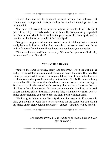

Delores does not say to disregard medical advice. She believes that medical care is important. Delores teaches that what we should get rid of is our unbelief.

"The mind of Messiah Jesus says our body is the temple of the Holy Spirit (see 1 Cor. 6:19). He needs to dwell in it. When He does, cancer gets pushed out. Our purpose should be to walk in the presence of the Holy Spirit, and to care for our bodies as the temple of the Holy Spirit.

"We get so programmed with the world's way of thinking that we cannot easily believe in healing. What does work is to get so saturated with Jesus and so far away from the world you know that you know you are healed.

"God uses doctors, and He uses surgery. We must be open to medical help, but we should go to God first."

## **YOU CAN BE A HEALER**

"Jesus is the same yesterday, today, and tomorrow. When He walked the earth, He healed the sick, cast out demons, and raised the dead. This was His ministry. He passed it on to His disciples, telling them to go make disciples of all nations and to pass this ministry on (see Matt. 28:19). He came to bring us abundant life. We miss this abundance because we are not expecting it. We have lived in the natural realm so long that we have forgotten that we also live in the spiritual realm. God can use anyone who is willing to be used to pass on these gifts of healing. If you are filled with the Holy Spirit, you lay hands on the sick and you expect that the Holy Spirit will heal them.

"Healing gifts belong to the Holy Spirit, not the person. So if someone is sick, you should not wait for a healer to come on the scene, but you should lay hands on the sick yourself and expect—expect—that they will be healed."

*CHANNEL 10* 

*God can use anyone who is willing to be used to pass on these gifts of healing*.

**Common Or Or A - A - Annual**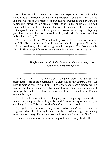To illustrate this, Delores described an experience she had while ministering at a Presbyterian church in Shreveport, Louisiana. Although the audience was filled with people seeking healing, Delores found her attention particularly drawn to a Catholic Sister sitting in the audience. She felt impressed to invite the Sister onto the stage to minister with her, and the Sister agreed. Delores asked her to pray for a woman with a large, disfiguring growth on her face. The Sister looked startled, and said, "I've never done this before, but I will try."

"No," Delores told her. "You will not try, you will do! Then God does the rest." The Sister laid her hand on the woman's cheek and prayed. When she took her hand away, the disfiguring growth was gone. The first time this Catholic Sister prayed for someone, a great miracle was done through her!



"Always know it is the Holy Spirit doing the work. We are just the messengers. This is the beginning of a great day in the church, where the Lord is pouring out His Spirit on all flesh. More and more churches will be carrying out the full ministry of Jesus, and healing ministries like mine will no longer be needed. The healing ministry will have returned to the Church where it belongs.

"Right now I know that God is changing hearts, preparing those hearts to believe in healing and be willing to be used. This is the cry of my heart, to see changed lives. This is the work of the Church, to set people free.

"I prayed for a man in one of my services who couldn't walk. To make a long story short, I took away his cane and he started walking, then running around the sanctuary. This man is now a minister in India, serving God."

Often we have to make an effort to step out in some way. God will honor it.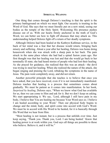#### **SPIRITUAL WEAPONS**

One thing that comes through Delores's teaching is that the spirit is the primary battleground on which we must fight. Our security is trusting in the Word of God. She says that we must literally put on a new mind, seeing our bodies as the temple of the Holy Spirit. Welcoming His presence pushes disease out of us. With our hearts firmly anchored in the truth of God's Word, we can better see how to fight off diseases that may attack us. This understanding helped Delores fight off a return of her deadly symptoms.

Although Delores had been healed at the Kathryn Kuhlman service, in the back of her mind was a fear that her disease would return, bringing back misery and suffering. About a year after her healing, Delores was home doing housework when she was struck with a sharp pain in her back. The pain struck in the same place where she had had a spinal fusion years ago. Her first thought was that her healing was lost and that she would go back to her terminally ill state; she had heard stories of people who had lost their healing. As she prayed for guidance, she realized that this was an attack—the devil was trying to steal her healing. When she realized the nature of the attack, she began singing and praising the Lord, rebuking the symptoms in the name of Jesus. The pain went completely away, and did not return.

Another powerful principle that she teaches is to believe that once you have asked, that you have received, even if it is not immediately manifested. Delores teaches that healing is a process that sometimes comes about gradually. We must be patient as it comes into manifestation. In her book, *Surprised by healing*, Delores says, "When we know what God has available for us, then we can come to Him and ask for it. But we don't keep on asking. We start appropriating it. We say, 'Lord, although I still have pain in my body, I believe that You are healing me because Your Word says so. I believe I am healed according to your Word.' Then our physical body begins to change and the mind, body, and spirit come into accord with God's Word. We must be in accord with His Word to be healed, for it is basically through His Word that we hear from Him.

"Most healing is not instant, but is a process that unfolds over time. Just keep saying, 'Thank you. Thank you, Lord. I am being healed.' Know that healing power is at work within you. God says all things are possible to those who believe. Believe it, and it will be."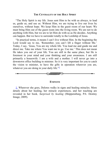#### **THE CENTRALITY OF THE HOLY SPIRIT**

"The Holy Spirit is my life. Jesus sent Him to be with us always, to lead us, guide us, and use us. Without Him, we are trying to live our lives by ourselves, without hope. We keep Him in the guest room of our heart. We must bring Him out of the guest room into the living room. We are not to do anything with Him, but we are to let Him do with us as He decides. Anything can happen. But we have to surrender totally to the Lordship of Jesus.

"In practical terms, it means I can't live without Him. In the beginning the Lord would say to me, 'Remember, you can't lift a finger without Me.' Today, I say, 'Jesus, You are my whole life. You lead me and guide me and direct me. Take me where You want me to go. Use me.' This does not mean He takes you out of your life. You are still in the same place, but He is foremost in your mind and your thinking and your awareness. I am still primarily a housewife. I am a wife and a mother. I will never go into a downtown office building to minister. So it is very important for you to catch the vision to minister, to have the gifts in operation wherever you are, whatever you are doing in your daily life."<sup>[1](#page-81-0)</sup>



#### <span id="page-81-1"></span>**ENDNOTE**

<span id="page-81-0"></span>[1.](#page-81-1) Wherever she goes, Delores walks in signs and healing miracles. More details about her healing, her miracle experiences, and her teaching are revealed in her book*, Surprised by healing* (Shippensburg, PA: Destiny Image, 2009).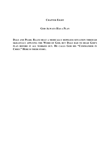**CHAPTER EIGHT**

# **GOD ALWAYS HAS A PLAN**

**DALE AND PEARL RAATZ BEAT A MEDICALLY HOPELESS SITUATION THROUGH SKILLFULLY APPLYING THE WORD OF GOD, BUT DALE HAD TO HEAR GOD'S PLAN BEFORE IT ALL WORKED OUT. HE CALLS GOD HIS "COMMANDER IN CHIEF." HERE IS THEIR STORY.**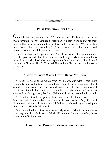## **PEARL FELL INTO A DEEP COMA**

,,,,,,,,,,,,

 $\mathbf{O}_n$  a cold February evening in 1997, Dale and Pearl Raatz went to a church music program in Iron Mountain, Michigan. As they were taking off their coats in the warm church auditorium, Pearl fell over, crying, "My head! My head feels like it's exploding!" After crying out, she experienced convulsions, and then fell into a deep coma.

Dale describes what happened next: "While we waited for an ambulance, the other pastors and I laid hands on Pearl and prayed. My natural mind was numb from the shock of what was happening, but from deep within, I heard the words of Psalm 118:17, 'You shall live and not die, and declare the works of the Lord.'"

## **A RIVER OF LIVING WATER FLOWED OUT OF MY HEART**

"I began to speak these words over my unconscious wife. I said them repeatedly, and by the time the ambulance came, I had an inner sense that I would see them come true. Pearl would live and not die, by the authority of the Word of God. This inner conviction became like a rock of truth that sustained me through many battles of faith until Pearl was completely healed.

"A friend went to the hospital with me, and while the doctors worked over Pearl, we waited in a nearby room. I was in the worst storm of my life, and I did the only thing that I knew to do. I lifted my hands and began worshiping God, thanking Him for His Word.

"As I worshiped, comfort came to me. My sense of shock and numbness gave way, and the rich deposit of God's Word came flowing out of my heart like a river of living water."

## **I SPOKE GOD'S PROMISES, INSERTING PEARL'S NAME**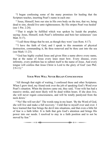"I began confessing some of the many promises for healing that the Scripture teaches, inserting Pearl's name in each one:

"'Jesus, Himself, bore our sins in His own body on the tree, that we, being dead to sins, should live unto righteousness. By His stripes Pearl was healed' (see 1 Pet. 2:24).

"'That it might be fulfilled which was spoken by Isaiah the prophet, saying: Jesus, Himself, took Pearl's infirmities and bore her sicknesses' (see Matt. 8:17).

"'I call those things that be not, as though they were' (see Rom. 4:17).

"'I have the faith of God, and I speak to this mountain of physical destruction, commanding it, Be thou removed and be thou cast into the sea (see Mark 11:23).

"'God has highly exalted Jesus and given Him a name above every name, that at the name of Jesus every knee must bow. Every disease, every infirmity, every problem has to submit itself to the name of Jesus. And every tongue will confess that Jesus Christ is Lord to the glory of God' (see Phil.  $2:9-11$ ."

## **YOUR WIFE WILL NEVER REGAIN CONSCIOUSNESS**

"All through that night of waiting, I confessed these and other Scriptures. When I grew tired, my friend took over the job of speaking God's Word over Pearl's situation. When the doctors came out, they said, 'Your wife has had a massive stroke, and most likely will be dead within hours. If she does live, she will never regain consciousness, and will be totally paralyzed from the neck down.'

"'No! She will not die!' The words rang in my heart. 'By the Word of God, she will live and make a full recovery.' I told that to myself over and over. I have learned that fear brings the devil into situations, and that even a little bit of fear is a faith killer. It is faith that gets God's attention and brings His power into our needs. I resolved to stay in a faith position and to not be moved by fear."

**Company of the Company of the United States** 

 $+ + + - - -$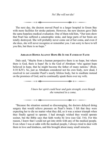*No! She will not die!*

The next day, the doctors moved Pearl to a larger hospital in Green Bay with more facilities for stroke patients. However, the new doctors gave Dale the same hopeless medical evaluation. One of them told him, "Our tests show that Pearl has suffered a catastrophic stoke, and large parts of her brain are totally destroyed. She will probably never come out of her coma, and even if she does, she will never recognize or remember you. I am sorry to have to tell you this, but there is no hope."

## **ABRAHAM HOPED AGAINST HOPE-HE IS THE FATHER OF FAITH**

Dale said, "Maybe from a human perspective there is no hope, but where there is God, there is hope! He is the God of Abraham 'who against hope believed in hope, that he might become the father of many nations.' (Rom. 4:18 KJV). So, just as Abraham considered not his own body, now dead, I resolved to not consider Pearl's nearly lifeless body, but to meditate instead on the promises of God, and to continually speak them over my wife.

*I knew her spirit could hear and gain strength, even though she remained in a coma*.

"Because the situation seemed so discouraging, the doctors delayed doing surgery that would relieve pressure on Pearl's brain. I felt that they were expecting her to die no matter what they did, so it was a minor triumph when they finally agreed to operate. I had strongly wished they would operate sooner, but the Bible says that faith works by love (see Gal. 5:6). For this reason, I knew that I could not get into strife with any of the medical people. Even when I was at odds with the medical people, I always tried to deal with them in love and kindness, and this brought about many small miracles.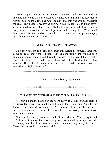"For example, I felt that it was important that Pearl be bathed constantly in anointed music and the Scriptures; so I wanted to bring in a tape recorder to play them 24 hours a day. The nurses told me that this was absolutely against the rules. But because my loving approach had brought me so much favor with the medical staff, they eventually bent those rules and allowed me to bring in a tape recorder. Soft worship music and reading of the Word filled Pearl's room 24 hours a day. I knew her spirit could hear and gain strength, even though she remained in a coma."

#### **I HAD TO HEAR GOD'S PLAN OF ATTACK**

Dale knew that getting Pearl back from this seemingly hopeless state was going to be a long fight. He said, "Through the past years, we had seen enough miracles come about through speaking God's Word that I really trusted it. However, I needed more. I needed to hear God's plan for this situation. He is the Commander in Chief, and I needed to know how He wanted me to fight this battle."



## **BY PRAYING AND MEDITATING ON THE WORD, I COULD HEAR HIM**

"By praying and meditating on the Word every day, I had long ago learned to discern His voice. I was continually listening for His guidance. One day, as I was reading Second Corinthians 5:17, 'Therefore, if any man be in Christ, he is a new creature,' I heard the voice of the Lord asking me what those words meant to me.

"The question really made me think, 'Lord, what are You trying to tell me?' I began to realize that this passage was not limited to the spiritual side of things, but that Pearl was also a new creature physically in Christ. Therefore, she could have a new brain!"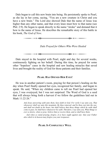Dale began to call this new brain into being. He persistently spoke to Pearl, as she lay in her coma, saying, "You are a new creature in Christ and you have a new brain." The Lord also showed Dale that the name of Jesus was higher than any other name, and that every knee must bow to that name (see Phil. 2:9). He began to speak directly to the name "stroke" and demand that it bow to the name of Jesus. He describes the remarkable story of this battle in his book, *The God of Now*.

> $-8.6.1 - 4.0$ *Dale Prayed for Others Who Were Healed*

Dale stayed in the hospital with Pearl, night and day for several weeks, continuously fighting on her behalf. During this time, he prayed for some other "hopeless" cases in the hospital and saw healing miracles that saved lives and brought the reality of God for those patients and their families.

## **PEARL HAS OPENED HER EYES!**

He was in another patient's room, praying for that person's healing on the day when Pearl finally opened her eyes, recognized her family, and began to speak. He said, "When my children came to tell me Pearl had opened her eyes, I was overjoyed, but I was not surprised. The Word of God is a seed that will always bring forth a harvest if we follow the guidelines laid out in Mark 11:22-26."

> *And Jesus answering saith unto them, have faith in God. For verily I say unto you, That whosoever shall say unto this mountain, Be thou removed, and be thou cast into the sea; and shall not doubt in his heart, but shall believe that those things which he saith shall come to pass; he shall have whatsoever he saith. Therefore, I say unto you, What things so ever ye desire, when ye pray, believe that ye receive them, and ye shall have them*.

> *And when ye stand praying, forgive, if ye have ought against any: that your Father also which is in heaven may forgive you your trespasses*.

#### **PEARL IS COMPLETELY WELL**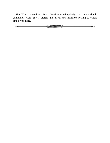The Word worked for Pearl. Pearl mended quickly, and today she is completely well. She is vibrant and alive, and ministers healing to others along with Dale.

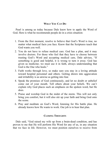# **WHAT YOU CAN DO**

Pearl is among us today because Dale knew how to apply the Word of God. Here is what he recommends people do in a crisis situation:

- 1. From the first moment, resolve to believe that God's Word is true, no matter what medical facts you face. Know that the Scriptures teach that God wants you well.
- 2. You do not have to refuse medical care. God has a plan, and it may involve doctors. For those who feel that they have to choose between trusting God's Word and accepting medical care, Dale advises, "If something is good and helpful, it is wrong to turn it away. God has given us medicine; we must use it in faith, always understanding that God is the One who heals."
- 3. Faith works through love, so make sure you stay in a loving attitude toward hospital personnel and others. Getting drawn into aggravation and irritability is as unwise as getting into fear.
- 4. Speak the promises of God continuously, and let no doubt or unbelief come out of your mouth. Tell others about your beliefs. We can't explain why God places such an emphasis on the spoken word, but He does.
- 5. Praise and worship God in the midst of the storm. This will not only bring you comfort, but it will also stir up your faith and bring God onto the scene.
- 6. Pray and meditate on God's Word, listening for His battle plan. He already knows how He wants to work. Our job is to hear that plan.

## **CLOSING THOUGHTS**

Dale said, "God raised my wife up from a brain-dead condition, and has proven to me that He will perform His Word for any of us, in any situation that we face in life. However, we must position ourselves to receive from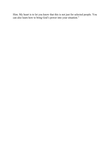Him. My heart is to let you know that this is not just for selected people. You can also learn how to bring God's power into your situation."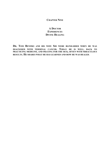## **CHAPTER NINE**

# **A DOCTOR EXPERIENCES DIVINE HEALING**

**DR. TOM RENFRO AND HIS WIFE SID WERE BLIND-SIDED WHEN HE WAS DIAGNOSED WITH TERMINAL CANCER. TODAY HE IS WELL, BACK TO PRACTICING MEDICINE, AND PRAYING FOR THE SICK, OFTEN WITH MIRACULOUS RESULTS. HE SHARES WHAT HE HAS LEARNED AND HOW HE WAS HEALED**.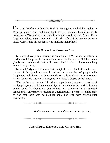DR. Tom Renfro was born in <sup>1955</sup> in the rugged, coalmining region of Virginia. After he finished his training in internal medicine, he returned to his hometown of Norton to set up a medical practice and raise his family. For a long time, things were going pretty well. His wife, Sid, had set up her own small business and his son Jason was finishing high school.

,,,,,,,,,,,,

## **MY WORST FEAR COMES TO PASS**

Tom was shaving one morning in October of 1996, when he noticed a marble-sized lump on the back of his neck. By the end of October, other glands had swollen under both of his arms. That is when he knew something was seriously wrong.

Tom said, "My worst fear was that it might be some kind of lymphoma cancer of the lymph system. I had treated a number of people with lymphoma, and I knew it to be a cruel disease. I immediately went to see my family doctor. He was worried too, and he ordered a biopsy of the lumps.

"The results were not good. I had a rare, particularly aggressive cancer of the lymph system, called mantel cell lymphoma. One of the world's leading authorities on lymphoma, Dr. Charles Hess, was on the staff at the medical school at the University of Virginia in Charlottesville. I went to see him, only to find that there was no medical hope, not even with experimental treatments."



*That is when he knew something was seriously wrong*.

**JESUS HEALED EVERYONE WHO CAME TO HIM**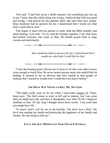Tom said, "I had been given a death sentence, but something just rose up in me. I knew that this whole thing was wrong. I believed that God was good and loving. I had prayed for my patients often, and seen Him save people. Since medicine had no answers for me, I determined that I would see what help I could find in God."

Tom began to meet with his pastors to study what the Bible actually said about healing. Tom said, "As we read the Gospels together, I saw that Jesus had healed everyone who came to Him. He healed people both in large crowds and individually.



*Since medicine had no answers for me, I determined that I would see what help I could find in God*.

"I saw that healing power flowed out of Jesus to all who were able to press close enough to touch Him. He never turned anyone away who asked Him for healing. It seemed to me so obvious that God wanted to heal people of sickness that I started to wonder how I could have not seen it before."

## **THE DEVIL WAS TRYING TO KILL ME, NOT GOD**

"The lights really went on for me when I read John, [chapter](#page-101-0) 10. There, Jesus says, 'The thief comes to steal, to kill and to destroy, but I am come that you might have life, and have it abundantly' (see John 10:10). I began to meditate on that. All day long I thought about those words: 'I am come that you might have life.'

"It wasn't God's will for me to die horribly. The devil was a thief. The devil was stealing my health and destroying the happiness of my family and friends. He was trying to kill me."

## **FACTS ARE JUST MOMENTS IN TIME-TRUTH IS ETERNAL**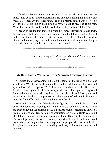"I faced a dilemma about how to think about my situation. On the one hand, I had built my entire professional life on understanding natural law and medical science. On the other hand, the Bible plainly said it was not God's will for me to die, but to have life and have it abundantly. The Bible said, 'You shall know the truth, and the truth shall make you free' (John 8:32).

"I began to realize that there is a vast difference between facts and truth. Facts are just shadows, passing moments in time that take account of the past and present but not the future. Facts may change. Truth, on the other hand, is eternal and unchanging. Facts set limits, but the truth makes you free. I began to wonder how to lay hold ofthat truth so that I could be free."



#### **MY REAL BATTLE WAS AGAINST THE SPIRITUAL FORCES OF UNBELIEF**

"I studied the great teaching in the sixth chapter of the Book of Ephesians which says, 'We do not battle against flesh and blood, but against powers and spiritual forces' (see Eph. 6:12). As I meditated on these and other Scriptures, I realized that my real battle was not against cancer, but against the spiritual forces who wanted to steal everything from me, then kill and destroy me, and wipe out my family in the process. All the powers of hell would line up to keep me from effectively believing the Word of God."

Tom said, "I knew that if the devil was fighting me, I would have to fight back. The devil was throwing pain and all kinds of symptoms at me to keep me from believing the promise of God. I fought back by meditating on God's promises, night and day, not only concentrating on specific Bible verses but also taking time to worship and praise and thank Him for all His goodness. The worship time grew to be extremely important to me. In addition, I read books about healing and listened to tapes about people who had been healed. I taught classes at my church on healing, and prayed for anyone who would let me do it.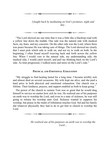*I fought back by meditating on God's promises, night and day.*.

"The Lord showed me one time that it was a little like a blacktop road with a yellow line down the middle. One side was the natural side with medical facts, my fears, and my concerns. On the other side was the Lord, where there was peace because He was taking care of things. The Lord showed me clearly that I must pick which side to walk on, and not try to walk on both. In the beginning, I often found myself weaving back and forth across the yellow line. When I would veer to the natural side, my understanding side, the medical side, I would catch myself, and pull my thinking back on the Lord's side. As time progressed, I walked more and more on the Lord's side."

## **PHYSICAL AND EMOTIONAL EXHAUSTION**

"My struggle to find healing lasted for a long time. I became terribly sick and almost died on several occasions. My wife kept me alive, and she paid a hard price in both physical and emotional exhaustion. Our church was a lifeline. Their kindness, prayers, and support enabled us both to keep going."

The power of the church to sustain Tom was so great that he would drag himself to service no matter how sick he was. He realized one of his purposes on earth was to worship the Lord, and even in a state of sickness, he was still going to release his worship unto God. Sickness wanted to suppress his worship, but praise in the midst of tribulation touches God. Sid and his family did whatever physically they had to do to get him to church to worship the Lord.

$$
\underbrace{\hspace{2.5cm}}\hspace{2.5cm}
$$

*He realized one of his purposes on earth was to worship the Lord…*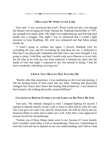

## **I RELEASED MY SPIRIT TO THE LORD**

Tom said, "I was convinced that God's Word would not fail, even though the disease was ravaging my body. During the Thanksgiving holiday of 1997, my strength was nearly gone. My lungs were tightening up, and drawing each breath was a struggle. One night I was so exhausted that I couldn't fight anymore to keep breathing. My wife was exhausted and had fallen asleep beside me.

"I wasn't going to awaken her again. I prayed, thanking God for everything He was, and for everything He had done for me. I confessed to Him that I was physically exhausted and didn't have any more strength. I was going to sleep, I told Him, and that I would wake up in Heaven or in my bed, but for Him to be with me was what mattered. I released my spirit into the hands of God that night. I expected to die, but instead of dying, I had the most wonderful, refreshing, reviving rest."

## **I KNEW THAT HEALING HAD TOUCHED ME**

"Shortly after that experience, I was meditating on the Lord and praying. I felt the healing touch of God come into my body. Nothing had physically changed, but I knew that I knew that healing had touched me. I was healed at that moment, but nothing physically seemed different."

## **I LEARNED TO DEPEND ENTIRELY ON THE LORD AND DO WHAT HE SAID**

Tom said, "My attitude changed as well. I stopped fighting for myself. I learned to depend entirely on the Lord, to listen to Him and do what He said. The Lord gave me some very specific instructions. He told me first to put my financial affairs in order and to make out a will. After that, I was supposed to present myself for chemotherapy.

"Neither one of these things made sense to me, because if I were healed, then I wouldn't need either a will or chemotherapy. However, I determined to trust the Lord and not to depend on my own understanding, and I did as I had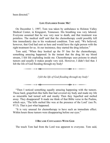been directed."

#### **LIFE EXPLODED INSIDE ME!**

On December 1, 1997, Tom was taken by ambulance to Holston Valley Medical Center, in Kingsport, Tennessee. His breathing was very labored. Everyone assumed that he was very near to death, and that treatment was pointless. The medical staff said that the chemotherapy could possibly kill him immediately due to his weakened condition. Tom said, "We believed, however, that God had sent us here and would have the right person with the right treatment for us. At our insistence, they started the drug infusion."

Tom said, "When they hooked up the IV line for the chemotherapy, something amazing happened. In the instant that the drug hit my blood stream, I felt life exploding inside me. Chemotherapy uses poisons to attack tumors and usually it makes people very sick. However, I didn't feel that. I felt the life of God flooding through my body!



"Then I noticed something equally amazing happening with the tumors. Those hard, grapefruit-like balls that had covered my body and made my life so miserable had turned soft and mushy Then they liquefied and melted away. They disappeared! It made me think of that Bible verse in the Psalms, which says, 'The hills melted like wax at the presence of the Lord' (see Ps. 97:5). That is just what happened.

"It is very unusual for chemotherapy to have such an immediate effect. Within hours those tumors were disappearing before our eyes."

#### **I BECAME CONTAGIOUS WITH GOD**

The touch Tom had from the Lord was apparent to everyone. Tom said,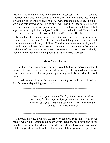"God had touched me, and He made me infectious with Life! I became infectious with God, and I couldn't stop myself from sharing this joy. Though I was too weak to walk or dress myself, I went into the lobby of the oncology ward and told everyone passing through what had happened to me. I had to tell them about the great goodness of God. I believe at that time, I had supernatural strength, life, and joy. The Scripture had not failed: You will not die, but live and declare the works of the Lord" (see Ps. 118:17).

Tom's dramatic healing was a great witness of God's mighty power to the medical staff. Tom said, "Of the three doctors taking care of me, two had expected the chemotherapy to kill me. The third was more optimistic, and he thought it would take three rounds of chemo to cause even a 50 percent shrinkage of the tumors. Even when chemotherapy works, it works slowly. None of them expected what happened. It really messed them up."

#### **MANY YEARS LATER**

It has been many years since Tom was healed. Sid has an active ministry of outreach to caregivers, and Tom is back at work practicing medicine. He has a new understanding of what patients go through and also of what the Lord can do.

He and his wife have a full schedule traveling to teach the truth of the Lord's present-day willingness to heal.

**Communication Communication** 

*I can never predict what God is going to do in any given situation, but I have prayed for people given up to die, who were on life support, and have seen them come of life support and walk out of the hospital*.

Wherever they go, Tom and Sid pray for the sick. Tom said, "I can never predict what God is going to do in any given situation, but I have prayed for people given up to die, who were on life support, and have seen them come off life support and walk out of the hospital. I have prayed for people on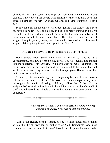chronic dialysis, and some have regained their renal function and ended dialysis. I have prayed for people with metastatic cancer and have seen that disease disappear. We serve an awesome God, and there is nothing He can't do."

Tom looks back on his battle as a spiritual journey. He believes he started out trying to believe in God's ability to heal, but really trusting in his own strength. He did everything he could to bring healing into his body, but it didn't manifest until he was touched by the Holy Spirit. "Then," he said, "I stopped trying to put in place my own formula for how God would heal me. I stopped claiming the gift, and I met up with the Giver."

## **IT DOES NOT HAVE TO BE INVISIBLE TO BE GOD WORKING**

Many people have asked Tom why he waited so long to take chemotherapy, and how he can be sure it was God who healed him and not just the medicine. Tom answers, "We don't want to make the mistake of telling God how to be God. I would have preferred to be healed the first week, or anywhere along the way, but God heals people in His own way. The battle was God's, not mine.

"I didn't go for chemotherapy in the beginning because I didn't have a release in my spirit to do so. The risks of chemotherapy in my case outweighed the benefits of taking it. I firmly believe that if I had taken it early on, before God said to, it would have killed me. Also, the 300 medical staff who witnessed the miracle of my healing would have been denied that opportunity.



*Also, the 300 medical staf who witnessed the miracle of my healing would have been denied that opportunity*.



"God is the Healer, period. Healing is one of those things that remains within the divine province or authority of God. Sometimes God uses medicine and doctors to heal. It doesn't have to be 100 percent invisible to be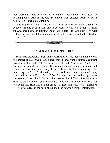God working. There was no one formula or method that Jesus used for healing people. And in the Old Testament, God directed Isaiah to put a poultice on Hezekiah to cure him.

"The important thing is to seek the Lord, to learn to listen to God, to believe Him and trust in Him, and to do what He tells you. Being a warrior for God does not mean fighting one great big battle. It starts right now, with making the next small decision about what to do. It is all about letting God be in charge."

- AHHHHH

#### **A MESSAGE FROM TOM'S PASTORS**

Tom's pastors, Glen Sturgill and Robert Fultz Jr., are men with many years of experience pastoring a faith-based church, and were a faithful, constant presence in the Renfros' lives. Pastor Sturgill said, "I have seen God move for many people who were dying. It is when people completely surrender and touch Him that they can really believe. It is like the woman with the hemorrhage in Mark 5 who said, 'If I can only touch the clothes of Jesus, then I will be healed' (see Mark 6:56). She touched Him, and she got what she needed. It isn't hard. Don't make it something difficult. Just believe in Him and seek Him until you touch Him. If you press in so close to Jesus that you bump into Him, His healing virtue will just jump onto you. I guarantee it." (See Resources in the back of the book for Renfro's contact information.)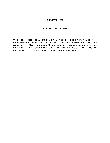## **CHAPTER TEN**

# **DO SOMETHING EXTRA!**

<span id="page-101-0"></span>**WHEN THE OBSTETRICIAN TOLD DR. GARY HILL AND HIS WIFE MARIE THAT THEIR UNBORN CHILD WOULD BE SEVERELY BRAIN DAMAGED, THEY REFUSED TO ACCEPT IT. THEY BELIEVED GOD WOULD HEAL THEIR UNBORN BABY, BUT THEY KNEW THEY WOULD HAVE TO FIND THE FAITH TO DO SOMETHING OUT OF THE ORDINARY TO GET A MIRACLE. HERE'S WHAT THEY DID**.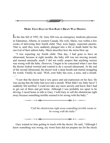# **MORE THAN HALF OF OUR BABY'S BRAIN WAS MISSING**

In the late fall of 1992, Dr. Gary Hill was an emergency medicine physician in Edmonton, Alberta, in western Canada. His wife, Marie, was within a few weeks of delivering their fourth child. They were happy, expectant parents. That is, until they were suddenly plunged into a life or death battle for the survival of their unborn baby. Marie describes how the storm blew up:

"I was expecting my fourth child. That day, I had gone to have an ultrasound, because at eight months, the baby still was not moving around, and seemed unusually small. I did not really suspect that anything serious was wrong with the baby. However, I began to be concerned when I saw that the doctor looked worried and wanted to do a second ultrasound. At the end of the second ultrasound, the doctor took a deep breath and started struggling for words. Finally he said, 'Well, your baby has eyes, a nose, and a mouth. …'

"I saw that the doctor had a very grave and sad expression on his face. He was saying that the baby had eyes and a mouth. What didn't my baby have? I suddenly felt terrified. I could not take any more anxiety and knew that I had to get out of there and get home. Although I was probably too upset to be driving, I raced home to talk to Gary. I told Gary to call the obstetrician right away because something terrible seemed to be wrong with the baby."



*"Call the obstetrician right away-something terrible seems to be wrong with the baby!"*

Gary wasted no time getting in touch with the doctor. He said, "Although I knew something was wrong, my worst fears did not prepare me for the shock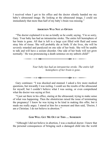I received when I got to his office and the doctor silently handed me my baby's ultrasound image. By looking at the ultrasound image, I could see immediately that more than half of my baby's brain was missing."

#### **ABORTION WAS NOT AN OPTION**

"The doctor explained it to me as kindly as he could, saying, 'I'm so sorry, Gary. Your baby has had an intrauterine stroke. The entire left hemisphere of her brain is gone. All that is left is a large cyst filled with fluid and some stray bits of tissue. She will probably die at birth. If she lives, she will be severely retarded and paralyzed on one side of her body. She will be unable to talk and will have a seizure disorder. One side of her body will not grow normally.' He was pronouncing a death sentence on my unborn child!"

 $\qquad \qquad \Longleftrightarrow \cdots \Longleftrightarrow$ 

*Your baby has had an intrauterine stroke. The entire left hemisphere of her brain is gone*.

----

Gary continues: "I was shocked and stunned. I asked a few more medical questions, but inwardly I was reeling. I could see the results of the ultrasound for myself, but I couldn't believe what I was seeing, or even comprehend what the doctor was saying at first.

"I just sat there in his office, staring at the ultrasound, trying to make sense of what was happening. Then the obstetrician raised the issue of terminating the pregnancy! I knew he was trying to be kind in making this offer, but it made me really angry. I stared at him for a moment and then said, 'Doctor, I am a Christian. I do not believe in abortion.'"

#### **GOD WILL GET ME OUT OF THIS … SOMEHOW**

"Although I did not believe in abortion, I was a medical doctor. I knew that the personal consequences of bringing such a damaged child into the world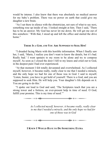would be intense. I also knew that there was absolutely no medical answer for my baby's problem. There was no power on earth that could give my daughter a new brain.

"As I sat there in silence with the obstetrician, not sure of what to say next, something rose up inside of me. I looked straight at him. Then I said, 'There has to be an answer. My God has never let me down. He will get me out of this somehow.' With that, I stood up and left the office and started the drive home"

## **THERE IS A GOD, AND YOU ARE SUPPOSED TO SEEK HIM!**

"I dreaded facing Marie with this horrible information. When I finally saw her, I said, 'Marie, I realize you don't want to know the details, but it's bad. Really bad.' I went upstairs to my room to be alone and try to compose myself. As soon as I closed the door I fell to my knees and cried out to God, in the deepest pain I had ever experienced.

"At that moment I felt totally devastated and overwhelmed. As I collected myself, however, it became really, really clear to me that I needed a miracle, and the only hope we had for one of those was in God. I said to myself, 'Listen, buster, you have to get hold of yourself. There is a God, and you are supposed to seek Him. He will help you. Your daughter's life depends on it. You are going to do this.'

"I spoke out loud to God and said, 'The Scriptures teach that you are a strong tower and a fortress, an ever-present help in time of need. O God, fulfill your promise. This is my time of need."



*As I collected myself, however, it became really, really clear to me that I needed a miracle, and the only hope we had for one of those was in God*

. . . . .

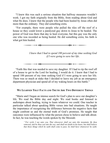"I knew this was such a serious situation that halfway measures wouldn't work. I got my faith originally from the Bible, from reading about God and what He does. I knew that the people who had been healed by Jesus often did more than the ordinary. They did something extra.

"For example, there were people who pulled the tiles off the roof of a house so they could lower a paralyzed guy down to Jesus to be healed. The power of God was there that day to heal everyone, but this guy was the only one who was recorded as being healed. He did something extra; his faith is what got him healed.



*I knew that I had to spend 100 percent of my time seeking God if I were going to save her life*.

**COM 8 6 1 - 1000** 

"Faith like that was needed to save my daughter. If I had to rip the roof off of a house to get to the Lord for healing, I would do it. I knew that I had to spend 100 percent of my time seeking God if I were going to save her life. There was so much at stake that I decided to leave my job as an emergency department physician and spend all of my waking hours on this battle."

#### **WE LEARNED THAT FACTS AND TRUTH ARE TWO DIFFERENT THINGS**

"Marie and I began an intense search for God's plan to save our daughter's life. We read the Bible day and night. We read books and listened to audiotapes about healing, trying to learn whatever we could. One teacher in particular talked about speaking Bible verses into bad situations. He taught the importance of recognizing the difference between the negative facts that might confront us and the eternal truth of God's promises. He taught that outcomes were influenced by what the person chose to believe and talk about. In fact, he was teaching the words spoken by the Messiah:

> *"'For verily I say unto you, That whosoever shall say unto this mountain, Be thou removed, and be thou cast into the sea; and shall not doubt in his heart, but shall believe that those things which he saith shall come to pass; he shall have whatsoever he saith.*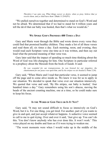*Therefore I say unto you, What things soever ye desire, when ye pray, believe that ye receive them, and ye shall have them'* (Mark 11:24 KJV).

"We pulled ourselves together and determined to stand on God's Word and not be afraid. We determined that if we had to stand for 6 trillion years and tell the devil that our baby was healed, then that's what we would do."

## **WE SPOKE GOD'S PROMISES 400 TIMES A DAY**

Gary and Marie went through the Bible and wrote down every verse they could find that promised healthy children. They made a list of all these verses and read them all, six times a day. Each morning, noon, and evening, they would read each Scripture verse one time as it was written, and then say out loud what the personal meaning of that verse was.

Gary later said that the impact of spending so much time thinking about the Word of God was life-changing for him. One Scripture in particular referred to a prophecy about the Messiah from the book of Isaiah. It said:

> *He was wounded for our transgressions, he was bruised for our iniquities; the chastisement for our peace was upon him, and by his stripes we are healed* (1 Peter 2:24).

Gary said, "When Marie and I read that particular verse, it seemed to jump off the page and to come alive inside us. We knew it was for us to apply in our situation. We decided to speak that verse over our situation intensively. We quoted that verse and said, 'By His stripes, our baby is healed,' four hundred times a day." Gary remembers using his son's abacus, moving the beads of the ancient counting machine, one at a time, so he could make sure to keep his focus.

## **IS THE WORD OF GOD TRUE OR IS IT NOT?**

Gary said, "It may not sound difficult to focus so intensively on God's Word, but it is. For one thing, you get tired. For another, part of you wants to give in and quit, and just accept whatever happens. A seductive voice seemed to call to me to quit trying. Over and over it said, 'Just give up. You can't do this. You don't know anybody who has ever done this. It won't work.' This voice played on my doubts and fears as if it were trying to weaken me.

"The worst moments were when I would wake up in the middle of the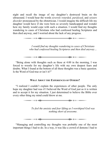night and recall the image of my daughter's destroyed brain on the ultrasound. I would hear the words *severely retarded, paralyzed*, and *seizure disorder* pronounced by the obstetrician. I would imagine the difficult life my daughter would have if she were born so severely handicapped and wonder how my family would cope with such a situation. I would find my thoughts wandering to cases of Christians who had confessed healing Scriptures and then died anyway, and I worried about the lack of any progress.

*I would find my thoughts wandering to cases of Christians who had confessed healing Scriptures and then died anyway…*

"Being alone with thoughts such as these at 4:00 in the morning, I was forced to wrestle for my daughter's life with my own deepest fears and doubts. What I found at the bottom of all these thoughts was a basic question. Is the Word of God true or isn't it?"

# **WHAT ABOUT THE EXPERIENCES OF OTHERS?**

"I realized I couldn't explain the experiences of other people. The only hope my daughter had was if I believed the Word of God just as it is written and to accept it for my situation. I just determined to believe the Bible over every other thing my mind could throw at me.



*To feel the anxiety and fear lifting as I worshiped God was nothing short of awesome*.

"Managing and controlling my thoughts was probably one of the most important things I had to do. In a way, it was like a crowd of demons I had to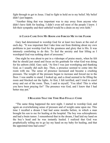fight through to get to Jesus. I had to fight to hold on to my belief. My belief didn't just happen.

"Another thing that was important was to stay away from anyone who didn't have faith for healing. I didn't even tell most of the people I knew. I felt their sympathy and their unbelief would be a drain on my own faith."

#### **A CLOUD CAME INTO MY ROOM AND FORCED ME TO THE FLOOR**

Gary had determined to worship God for at least two hours at the end of each day. "It was important that I take time out from thinking about my own problems to just worship God for the greatness and glory that is His. It was intensely comforting to do this. To feel the anxiety and fear lifting as I worshiped God was nothing short of awesome."

One night he was about to put in a videotape of praise music, when he felt that he should just stand and focus on his gratitude for what God was doing for his unborn child. Gary said, "At first I was just worshiping and thanking God, as I usually did each day. Then, a presence seemed to come into the room with me. The sense of presence increased and became a crushing pressure. The weight of the pressure began to increase and forced me to the floor. I was unable to stand. I looked up, and a cloud seemed to be filling the room and blocked out the lights. At first, I felt terrified, and I tried to crawl away and out of the room. Then, I said to myself, 'You idiot! This is what you have been praying for!' The presence was God, and I knew that I had better stay put."

#### **I REALIZED THAT THE TIME HAD FINALLY COME**

"The same thing happened the next night. I started to worship God, and again an overwhelming sense of pressure and of weight came upon me. This time I recalled a dream I had had some months before, in which a man brought his son to me for healing at the hospital. The boy was schizophrenic and had a brain tumor. I remembered that in the dream, I had laid my hand on the boy's head and he was instantly healed. I realized that God was prophetically telling me to go lay my hand on my baby for healing, and that the appointed time had come!"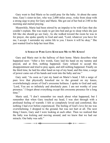Gary went to find Marie so he could pray for the baby. At about the same time, Gary's sister-in-law, who was 2,000 miles away, woke from sleep with a strong urge to pray for Gary and Marie. She got out of her bed at 2:00 in the morning and started praying.

Meanwhile, Marie had been stirred by an impulse to be with Gary that she couldn't explain. She was ready to get into bed and go to sleep when she just felt like she should go see Gary. As she walked toward the room he was in for prayer, she spoke quietly to God and said, "Lord, whatever you have for me, I accept. I surrender my entire life to you. I know it will be okay." She just wanted God to help her trust Him.

#### **A SURGE OF PURE LOVE KNOCKED ME TO MY KNEES!**

Gary and Marie met in the hallway of their home. Marie describes what happened next: "After a few words, Gary laid his hand on my tummy and prayed, and at first, nothing happened. Gary refused to accept this disappointment and tried to pray again, and still nothing happened. Finally on the third time, he laid his other hand on top of my head, and this time, a surge of power came out of his hands and went into the baby and me."

Gary said, "As soon as I put my hand on Marie's head, I felt a surge of pure love that physically knocked me to the ground on my knees, overwhelmingly aware of God's awesome holiness. I spoke to God and said, 'Lord, You are so infinitely and absolutely pure. I am not worthy of your presence.' I forgot about everything except this awesome presence for a long time."

Marie said, "I don't remember too much about what happened, but I remember that when Gary touched my head, I was shot through with a profound feeling of warmth. I felt so completely loved and comforted, like nothing I had ever before experienced. The feeling of God's love for me was overwhelming. I dropped to the ground, but was not hurt at all. The next thing I knew, Gary and I were looking at each other. Then we realized that the baby was kicking and moving around, and we knew that we had our miracle. Our baby was safe."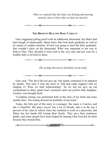*Then we realized that the baby was kicking and moving around, and we knew that we had our miracle*.

#### **THE BIRTH OF HEALTHY BABY CAROLYN**

Gary suggested getting proof with an additional ultrasound, but Marie had had enough of ultrasounds. Marie knew that God heals gradually as well as by means of sudden miracles. If God was going to heal the baby gradually, that wouldn't show on the ultrasound. What was important to her was to believe Him. They decided to trust God to the very end, and just wait for a healthy baby to be born to them.



Gary said, "The devil did not give up. Our minds continued to be attacked by doubts. This time it took the form of 'Did that really happen? Did we imagine it? Were we both hallucinating?' So we did not give up our commitment to daily speak God's promises until our perfect little daughter, Carolyn, was brought forth.

"Complete testing was performed both at the time of her birth and some months later. The testing showed no disability of any kind."

Today, the little girl of this story is a teenager. Her name is Carolyn, and she is beautiful. She plays soccer, has a lot of friends, and is in the top 3 percent of her class at school. Gary has returned to work as a physician, and Marie has her hands full raising their family. They give their testimony gladly, and many people have been helped by hearing what God did for them because they trusted Him.

ARRHAM I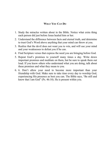#### **WHAT YOU CAN DO**

- 1. Study the miracles written about in the Bible. Notice what extra thing each person did just before Jesus healed him or her.
- 2. Understand the difference between facts and eternal truth, and determine to trust God's Word above anything that your mind can throw at you.
- 3. Realize that the devil does not want you to win, and will use your mind and your weaknesses to defeat you if he can.
- 4. Find Scripture verses that express the need you are bringing before God.
- 5. Repeat God's promises to yourself many times a day. Write down important promises and meditate on them, but be sure to speak them out loud. If you know others who understand what you are doing, talk about these promises and what they mean to you.
- 6. 6. Don't allow your need to become more important than your friendship with God. Make sure to take time every day to worship God, experiencing His presence as best you can. The Bible says, "Be still and know that I am God" (Ps. 46:10). He is present within you.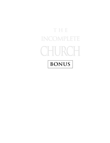# THE INCOMPLETE CHURCH

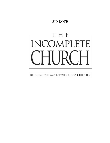### SID ROTH



**BRIDGING THE GAP BETWEEN GOD'S CHILDREN**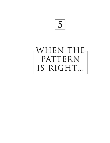# 5

## WHEN THE-PATTERN IS RIGHT...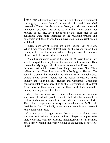**I AM <sup>A</sup> JEW**. Although as I was growing up I attended a traditional synagogue, it never dawned on me that I could know God personally. The stories about Moses, Noah, and Abraham belonged to another era. God seemed to be a million miles away—not relevant to my life. Even the most devout, older men in the synagogue were more interested in the ritualistic prayers and fellowship with their friends than in having an intimate relationship with God.

Today, most Jewish people are more secular than religious. When I was young, Jews at least went to the synagogue on high holidays like Rosh Hashanah and Yom Kippur. Now the majority of my people do not attend services at all.

When I encountered Jesus at the age of 30, everything in my world changed. I not only knew God was real, but I now knew Him personally. My biggest shock was to discover that Christians, for the most part, act like most Jews. They know about God. They believe in Him. They think they will probably go to Heaven. Yet some have greater intimacy with their denomination than with God. Others attend church merely for the social interaction. These Sunday and "high-holiday" (Easter and Christmas) Christians compartmentalize God according to their convenience. They treat Jesus more as their servant than as their Lord. They surrender Sunday mornings—not their lives.

Many churches have evolved into nothing more than religious warehouses filled with people bound for hell. Members are made to feel as if they are acceptable to God without repentance of sin. Their church experience is as spectators who never fulfill their destinies in God. Tragically, many do not even have a personal relationship with Jesus.

Over the years, I began to see that even some of the better churches are filled with religious tradition. The pastors appear to be more concerned with the offering, announcements, a full sermon, and a timely ending than with yielding to the leading of the Holy Spirit.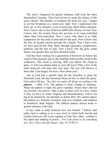The more I hungered for greater intimacy with God, the more dissatisfied I became. Then God led me to study the history of the early Church. The blinders of tradition fell from my eyes. I began to see the Scriptures in a whole new light. Now I understand why there are so few miracles, even in believing, Spirit-filled churches. Now I know why so few believers fulfill their destiny in God. Now I know why the system forces the services to be man-controlled rather than God-controlled. Now I know why there is so little compassion for the souls of men and for the poor. Now I know why the sins of secular society pervade the Church. Now I know how we have grieved the Holy Spirit through ignorance, compromise, tradition, and the fear of man. Now I know why the glory under Moses was greater than our best churches today.

God has been waiting for a generation of believers to follow the cloud of His presence just as the Israelites followed the cloud in the wilderness. The cloud is moving. Will you follow the cloud to glory, or will you remain stuck in your old ways? Only a few of the older believers will enter this new land. The rest will observe it from afar. I am hungry for more. How about you?

Just as God had a specific plan for the Israelites to enter the Promised Land, He also instructed them on how to enter His glory. God said to Moses, *"See that you make all things according to the pattern*..." (Heb. 8:5). The pattern is God's bridge to intimacy. When the pattern is right, the glory explodes. Notice that I did not *s*ay *formula, but pattern*. Man wants to place God in a box, which is why we have so many religions and denominations. God is too big to be limited by our attempts to define Him. We cannot reduce His pattern to a formula. Formulas lead us to tradition, and tradition to fossilized, dead religion. The biblical pattern always leads to greater intimacy with God.

It also leads to unity between Jew and Gentile. I believe that today God is calling us to a new level in which both Jewish and Gentile believers will come together as One New Man—yielded to His Spirit and walking in power. *"For I am about to do something new. See, I have already begun"* (Isa. 43:19 NLT).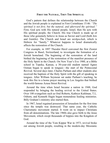#### **FIRST THE NATURAL, THEN THE SPIRITUAL**

God's pattern that defines the relationship between the Church and the Jewish people is explained in First Corinthians 15:46: *"The spiritual is not first, but the natural, and afterward the spiritual."* First, God acts with His natural people, Israel; then He acts with His spiritual people, the Church. His true Church is made up of those who genuinely believe in Jesus as Savior and Lord (both Jew and Gentile). The Church and Israel are *mishpochah*, which is Hebrew for "family." Whatever happens to Israel dramatically affects the restoration of the Church.

For example, in 1897 Theodor Herzl convened the first Zionist Congress in Basel, Switzerland, to investigate the formation of a Jewish homeland. The beginning of the restoration of the land birthed the beginning of the restoration of the manifest presence of the Holy Spirit in the Church. On New Year's Eve 1900, at a Bible school in Topeka, Kansas, a 30-year-old student named Agnes Ozman began to speak in tongues—the start of the Pentecostal Revival. Several days later, Charles Parham and other students also received the baptism of the Holy Spirit with the gift of speaking in tongues. After William Seymour sat under Parham's teaching, he took this fire to a home prayer meeting in Los Angeles that birthed the world-famous Azusa Street Revival.

Around the time when Israel became a nation in 1948, God responded by bringing the healing revival to the United States. Over 100 evangelists such as Oral Roberts, Kathryn Kuhlman, T.L. Osborn, and Kenneth Hagin began tremendous healing ministries. Billy Graham's ministry also started then.

In 1967, Israel regained possession of Jerusalem for the first time since the temple was destroyed. That same year, the Catholic Charismatic movement started. It went on to impact Christians from all denominations. The late 1960s also gave birth to the Jesus Movement, which swept thousands of hippies into the Kingdom of God.

Around the time of the Yom Kippur War in 1973, revival broke out among Jewish people, resulting in the modern-day Messianic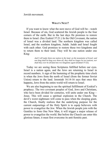Jewish movement.

#### **WHAT'S NEXT?**

If you want to know what the next move of God will be—watch Israel. Because of sin, God scattered the Jewish people to the four corners of the earth. But in the last days He promises to restore them to Israel. (See Ezekiel 37:21.) In the Old Covenant, the nation of Israel was a divided land. The northern kingdom was called Israel, and the southern kingdom, Judah. Judah and Israel fought with each other. God promises to restore these two kingdoms and to return them to their land. They will be one nation under one King:

> *And I will make them one nation in the land, on the mountains of Israel; and one king shall be king over them all; they shall no longer be two nations, nor shall they ever be divided into two kingdoms again* (Ezekiel 37:22).

Today we are seeing these Scriptures fulfilled before our eyes. Israel is a nation again, and the Jews are returning to Israel in record numbers. A sign of the hastening of the prophetic time clock is when the Jews from the north of Israel (from the former Soviet Union) return to the land. Jeremiah 16:14-16 says that once this happens, Jews from the entire world will return to Israel.

We are also beginning to see the spiritual fulfillment of Ezekiel's prophecy. The two covenant peoples of God, Jews and Christians, who have been divided for centuries, will unite under one King— Jesus. This will cause a spiritual explosion in the Church. The devil's worst nightmare will come to pass when the sleeping giant, the Church, finally realizes that the underlying purpose for the current outpourings of the Holy Spirit is to equip believers with power to evangelize the Jew. When the Jewish people join with the Gentiles to form One New Man, it will trigger a major release of power to evangelize the world. But before the Church can enter this glorious future, it must first overcome its anti-Semitic past.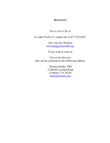#### **RESOURCES**

PEGGY JOYCE RUTH

To order *Psalm 91*, contact her at 877-972-6657.

Also visit her Website: [www.peggyjoyceruth.org.](http://www.peggyjoyceruth.org)

If you wish to write to

TOM or SID RENFRO, they can be contacted at the following address:

> Thomas Renfro, MD 12200-B Carolina Road Coeburn, VA 24230 [tomr@mounet.com](mailto:tomr@mounet.com)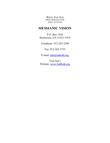WRITE FOR OUR FREE NEWSLETTER AND CATALOG

### **MESSIANIC VISION**

P.O. Box 1918 Brunswick, GA 31521-1918

Telephone: 912-265-2500

Fax: 912-265-3735

E-mail: [info@sidroth.org](mailto:info@sidroth.org)

Visit Sid's Website: [www.SidRoth.org](http://www.SidRoth.org)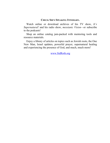#### **CHECK SID'S SPEAKING ITINERARY.**

Watch online or download archives of his TV show, *It's Supernatural!* and his radio show, *messianic Vision—*or subscribe to the podcasts!

Shop an online catalog jam-packed with mentoring tools and resource materials.

Enjoy a library of articles on topics such as Jewish roots, the One New Man, Israel updates, powerful prayer, supernatural healing and experiencing the presence of God, and much, much more!

[www.SidRoth.org](http://www.SidRoth.org)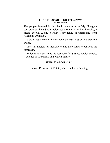#### **THEY THOUGHT FOR THEMSELVES BY SID ROTH**

The people featured in this book come from widely divergent backgrounds, including a holocaust survivor, a multimillionaire, a media executive, and a Ph.D. They range in upbringing from Atheist to Orthodox.

*What is the common denominator among those in this unusual group?*

They all thought for themselves, and they dared to confront the forbidden.

Believed by many to be the best book for unsaved Jewish people, it belongs in your home and church library.

#### **ISBN: 978-0-7684-2842-1**

**Cost:** Donation of \$15.00, which includes shipping.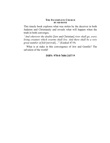#### **THE INCOMPLETE CHURCH BY SID ROTH**

This timely book explores what was stolen by the deceiver in both Judaism and Christianity and reveals what will happen when the truth in both converges.

*"And wherever the double* [Jew and Christian] *river shall go, every living creature which swarms shall live. And there shall be a very great number of fish* [revival]…" (Ezekiel 47:9).

What is at stake in this convergence of Jew and Gentile? The salvation of the world!

#### **ISBN: 978-0-7684-2437-9**